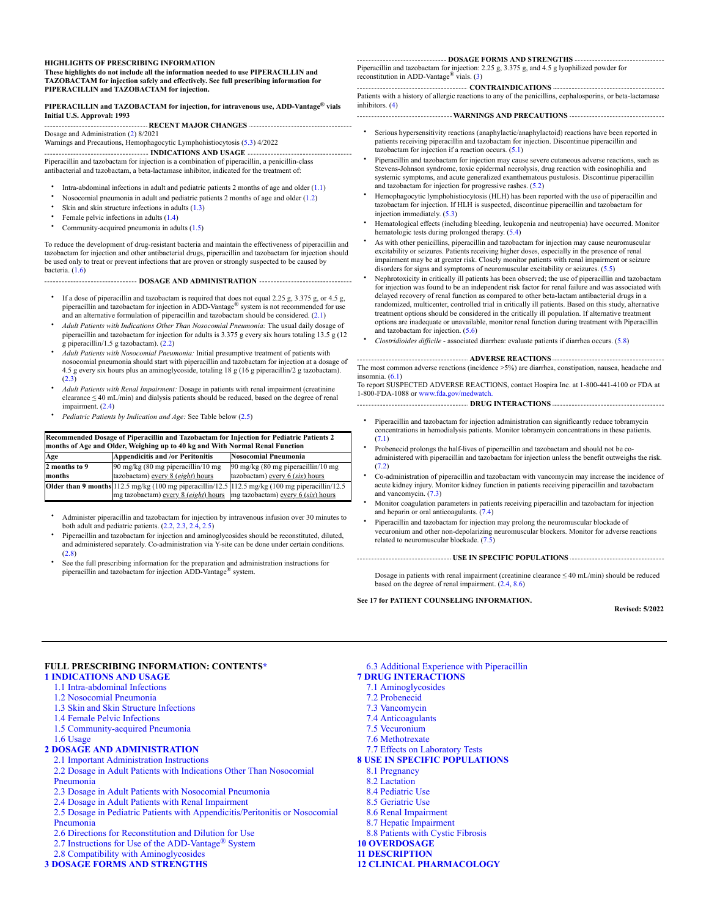#### **HIGHLIGHTS OF PRESCRIBING INFORMATION**

**These highlights do not include all the information needed to use PIPERACILLIN and TAZOBACTAM for injection safely and effectively. See full prescribing information for PIPERACILLIN and TAZOBACTAM for injection.**

#### **PIPERACILLIN and TAZOBACTAM for injection, for intravenous use, ADD-Vantage vials ® Initial U.S. Approval: 1993**

**RECENT MAJOR CHANGES** Dosage and Administration [\(2\)](#page-1-0) 8/2021

Warnings and Precautions, Hemophagocytic Lymphohistiocytosis ([5.3](#page-4-0)) 4/2022

**INDICATIONS AND USAGE** Piperacillin and tazobactam for injection is a combination of piperacillin, a penicillin-class antibacterial and tazobactam, a beta-lactamase inhibitor, indicated for the treatment of:

- Intra-abdominal infections in adult and pediatric patients 2 months of age and older  $(1.1)$  $(1.1)$
- Nosocomial pneumonia in adult and pediatric patients 2 months of age and older [\(1.2](#page-1-5))
- Skin and skin structure infections in adults [\(1.3](#page-1-6))
- Female pelvic infections in adults ([1.4\)](#page-1-7)
- Community-acquired pneumonia in adults ([1.5\)](#page-1-8)

To reduce the development of drug-resistant bacteria and maintain the effectiveness of piperacillin and tazobactam for injection and other antibacterial drugs, piperacillin and tazobactam for injection should be used only to treat or prevent infections that are proven or strongly suspected to be caused by bacteria. [\(1.6](#page-1-1))

**DOSAGE AND ADMINISTRATION ...................................** 

- If a dose of piperacillin and tazobactam is required that does not equal 2.25 g, 3.375 g, or 4.5 g, piperacillin and tazobactam for injection in ADD-Vantage® system is not recommended for use and an alternative formulation of piperacillin and tazobactam should be considered. ([2.1](#page-1-9))
- *Adult Patients with Indications Other Than Nosocomial Pneumonia:* The usual daily dosage of piperacillin and tazobactam for injection for adults is 3.375 g every six hours totaling 13.5 g (12 g piperacillin/1.5 g tazobactam). [\(2.2](#page-1-10))
- *Adult Patients with Nosocomial Pneumonia:* Initial presumptive treatment of patients with nosocomial pneumonia should start with piperacillin and tazobactam for injection at a dosage of 4.5 g every six hours plus an aminoglycoside, totaling 18 g (16 g piperacillin/2 g tazobactam). ([2.3\)](#page-1-11)
- *Adult Patients with Renal Impairment:* Dosage in patients with renal impairment (creatinine clearance  $\leq 40$  mL/min) and dialysis patients should be reduced, based on the degree of renal impairment. [\(2.4](#page-1-12))
- *Pediatric Patients by Indication and Age:* See Table below [\(2.5](#page-2-0))

| Recommended Dosage of Piperacillin and Tazobactam for Injection for Pediatric Patients 2<br>months of Age and Older, Weighing up to 40 kg and With Normal Renal Function |                                                                                                 |                                              |  |  |  |
|--------------------------------------------------------------------------------------------------------------------------------------------------------------------------|-------------------------------------------------------------------------------------------------|----------------------------------------------|--|--|--|
| Age                                                                                                                                                                      | <b>Appendicitis and /or Peritonitis</b>                                                         | <b>Nosocomial Pneumonia</b>                  |  |  |  |
| 2 months to 9                                                                                                                                                            | 90 mg/kg (80 mg piperacillin/10 mg                                                              | $90 \text{ mg/kg}$ (80 mg piperacillin/10 mg |  |  |  |
| months                                                                                                                                                                   | tazobactam) every 8 (eight) hours                                                               | tazobactam) every 6 (six) hours              |  |  |  |
|                                                                                                                                                                          | Older than 9 months 112.5 mg/kg (100 mg piperacillin/12.5 112.5 mg/kg (100 mg piperacillin/12.5 |                                              |  |  |  |
|                                                                                                                                                                          | mg tazobactam) every 8 (eight) hours mg tazobactam) every 6 (six) hours                         |                                              |  |  |  |

• Administer piperacillin and tazobactam for injection by intravenous infusion over 30 minutes to both adult and pediatric patients. [\(2.2](#page-1-10), [2.3](#page-1-11), [2.4](#page-1-12), [2.5\)](#page-2-0)

- Piperacillin and tazobactam for injection and aminoglycosides should be reconstituted, diluted, and administered separately. Co-administration via Y-site can be done under certain conditions. ([2.8\)](#page-3-0)
- See the full prescribing information for the preparation and administration instructions for piperacillin and tazobactam for injection  $\mathrm{ADD}\text{-}\mathrm{Vantage}^{\circledast}$  system.

#### **DOSAGE FORMS AND STRENGTHS**

Piperacillin and tazobactam for injection: 2.25 g, 3.375 g, and 4.5 g lyophilized powder for reconstitution in ADD-Vantage<sup>®</sup> vials.  $(3)$  $(3)$ 

**CONTRAINDICATIONS**

Patients with a history of allergic reactions to any of the penicillins, cephalosporins, or beta-lactamase inhibitors. [\(4](#page-4-2))

#### **WARNINGS AND PRECAUTIONS**

- Serious hypersensitivity reactions (anaphylactic/anaphylactoid) reactions have been reported in patients receiving piperacillin and tazobactam for injection. Discontinue piperacillin and tazobactam for injection if a reaction occurs.  $(5.1)$  $(5.1)$
- Piperacillin and tazobactam for injection may cause severe cutaneous adverse reactions, such as Stevens-Johnson syndrome, toxic epidermal necrolysis, drug reaction with eosinophilia and systemic symptoms, and acute generalized exanthematous pustulosis. Discontinue piperacillin and tazobactam for injection for progressive rashes. ([5.2\)](#page-4-4)
- Hemophagocytic lymphohistiocytosis (HLH) has been reported with the use of piperacillin and tazobactam for injection. If HLH is suspected, discontinue piperacillin and tazobactam for injection immediately. ([5.3](#page-4-0))
- Hematological effects (including bleeding, leukopenia and neutropenia) have occurred. Monitor hematologic tests during prolonged therapy. [\(5.4](#page-4-5))
- As with other penicillins, piperacillin and tazobactam for injection may cause neuromuscular excitability or seizures. Patients receiving higher doses, especially in the presence of renal impairment may be at greater risk. Closely monitor patients with renal impairment or seizure disorders for signs and symptoms of neuromuscular excitability or seizures. ([5.5\)](#page-4-6)
- Nephrotoxicity in critically ill patients has been observed; the use of piperacillin and tazobactam for injection was found to be an independent risk factor for renal failure and was associated with delayed recovery of renal function as compared to other beta-lactam antibacterial drugs in a randomized, multicenter, controlled trial in critically ill patients. Based on this study, alternative treatment options should be considered in the critically ill population. If alternative treatment options are inadequate or unavailable, monitor renal function during treatment with Piperacillin and tazobactam for injection. [\(5.6](#page-4-7))
- *Clostridioides difficile* - associated diarrhea: evaluate patients if diarrhea occurs. ([5.8\)](#page-5-1)

**ADVERSE REACTIONS** The most common adverse reactions (incidence >5%) are diarrhea, constipation, nausea, headache and insomnia. ([6.1](#page-5-0))

To report SUSPECTED ADVERSE REACTIONS, contact Hospira Inc. at 1-800-441-4100 or FDA at 1-800-FDA-1088 or [www.fda.gov/medwatch.](http://www.fda.gov/medwatch)

- **DRUG INTERACTIONS**
	- Piperacillin and tazobactam for injection administration can significantly reduce tobramycin concentrations in hemodialysis patients. Monitor tobramycin concentrations in these patients. ([7.1\)](#page-7-2)
	- Probenecid prolongs the half-lives of piperacillin and tazobactam and should not be coadministered with piperacillin and tazobactam for injection unless the benefit outweighs the risk. ([7.2\)](#page-7-3)
	- Co-administration of piperacillin and tazobactam with vancomycin may increase the incidence of acute kidney injury. Monitor kidney function in patients receiving piperacillin and tazobactam and vancomycin. [\(7.3\)](#page-8-0)
	- Monitor coagulation parameters in patients receiving piperacillin and tazobactam for injection and heparin or oral anticoagulants. [\(7.4](#page-8-1))
	- Piperacillin and tazobactam for injection may prolong the neuromuscular blockade of vecuronium and other non-depolarizing neuromuscular blockers. Monitor for adverse reactions related to neuromuscular blockade.  $(7.5)$  $(7.5)$

**USE IN SPECIFIC POPULATIONS**

Dosage in patients with renal impairment (creatinine clearance  $\leq 40$  mL/min) should be reduced based on the degree of renal impairment. [\(2.4](#page-1-12), [8.6](#page-9-1))

#### **See 17 for PATIENT COUNSELING INFORMATION.**

**Revised: 5/2022**

## **FULL PRESCRIBING INFORMATION: CONTENTS[\\*](#page-1-2)**

#### **[1 INDICATIONS AND USAGE](#page-1-3)**

- [1.1 Intra-abdominal Infections](#page-1-4)
- [1.2 Nosocomial Pneumonia](#page-1-5)
- [1.3 Skin and Skin Structure Infections](#page-1-6)
- [1.4 Female Pelvic Infections](#page-1-7)
- [1.5 Community-acquired Pneumonia](#page-1-8)
- [1.6 Usage](#page-1-1)

### **[2 DOSAGE AND ADMINISTRATION](#page-1-0)**

#### [2.1 Important Administration Instructions](#page-1-9)

- [2.2 Dosage in Adult Patients with Indications Other Than Nosocomial](#page-1-10)
- Pneumonia
- [2.3 Dosage in Adult Patients with Nosocomial Pneumonia](#page-1-11)
- [2.4 Dosage in Adult Patients with Renal Impairment](#page-1-12)
- [2.5 Dosage in Pediatric Patients with Appendicitis/Peritonitis or Nosocomial](#page-2-0) Pneumonia
- [2.6 Directions for Reconstitution and Dilution for Use](#page-2-1)
- 2.7 Instructions for Use of the ADD-Vantage<sup>®</sup> System
- [2.8 Compatibility with Aminoglycosides](#page-3-0)

# **[3 DOSAGE FORMS AND STRENGTHS](#page-4-1)**

- <span id="page-0-0"></span>[6.3 Additional Experience with Piperacillin](#page-7-0)
- **[7 DRUG INTERACTIONS](#page-7-1)**
	- [7.1 Aminoglycosides](#page-7-2)
	- [7.2 Probenecid](#page-7-3)
- [7.3 Vancomycin](#page-8-0)
- [7.4 Anticoagulants](#page-8-1)
- [7.5 Vecuronium](#page-8-2)
- [7.6 Methotrexate](#page-8-3)
- [7.7 Effects on Laboratory Tests](#page-8-4)
- **[8 USE IN SPECIFIC POPULATIONS](#page-8-5)**
- [8.1 Pregnancy](#page-8-6)
- [8.2 Lactation](#page-8-7)
- [8.4 Pediatric Use](#page-8-8)
- [8.5 Geriatric Use](#page-9-0)
- [8.6 Renal Impairment](#page-9-1)
- [8.7 Hepatic Impairment](#page-9-2)
- [8.8 Patients with Cystic Fibrosis](#page-9-3) **[10 OVERDOSAGE](#page-9-4)**

# **[11 DESCRIPTION](#page-9-5)**

**[12 CLINICAL PHARMACOLOGY](#page-11-0)**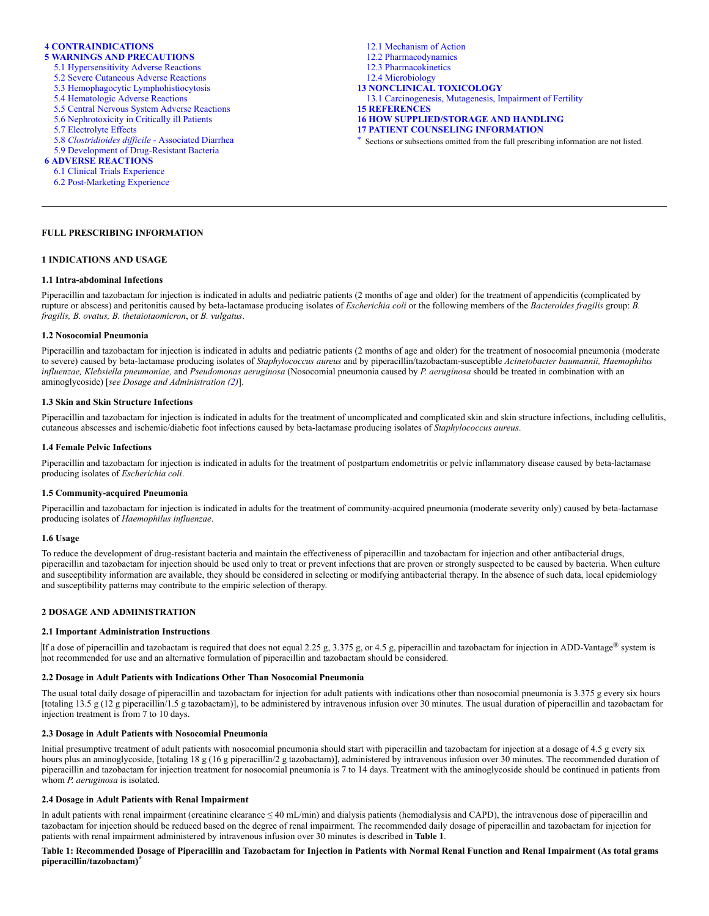# **[4 CONTRAINDICATIONS](#page-4-2)**

# **[5 WARNINGS AND PRECAUTIONS](#page-4-8)**

- [5.1 Hypersensitivity Adverse Reactions](#page-4-3)
- [5.2 Severe Cutaneous Adverse Reactions](#page-4-4)
- [5.3 Hemophagocytic Lymphohistiocytosis](#page-4-0)
- [5.4 Hematologic Adverse Reactions](#page-4-5)
- [5.5 Central Nervous System Adverse Reactions](#page-4-6)
- [5.6 Nephrotoxicity in Critically ill Patients](#page-4-7)
- [5.7 Electrolyte Effects](#page-5-2)
- 5.8 *[Clostridioides difficile -](#page-5-1)* Associated Diarrhea
- [5.9 Development of Drug-Resistant Bacteria](#page-5-3)

# **[6 ADVERSE REACTIONS](#page-5-4)**

- [6.1 Clinical Trials Experience](#page-5-5)
- [6.2 Post-Marketing Experience](#page-7-4)

#### **FULL PRESCRIBING INFORMATION**

### <span id="page-1-3"></span>**1 INDICATIONS AND USAGE**

#### <span id="page-1-4"></span>**1.1 Intra-abdominal Infections**

Piperacillin and tazobactam for injection is indicated in adults and pediatric patients (2 months of age and older) for the treatment of appendicitis (complicated by rupture or abscess) and peritonitis caused by beta-lactamase producing isolates of *Escherichia coli* or the following members of the *Bacteroides fragilis* group: *B. fragilis, B. ovatus, B. thetaiotaomicron*, or *B. vulgatus*.

### <span id="page-1-5"></span>**1.2 Nosocomial Pneumonia**

Piperacillin and tazobactam for injection is indicated in adults and pediatric patients (2 months of age and older) for the treatment of nosocomial pneumonia (moderate to severe) caused by beta-lactamase producing isolates of *Staphylococcus aureus* and by piperacillin/tazobactam-susceptible *Acinetobacter baumannii, Haemophilus influenzae, Klebsiella pneumoniae,* and *Pseudomonas aeruginosa* (Nosocomial pneumonia caused by *P. aeruginosa* should be treated in combination with an aminoglycoside) [*see Dosage and Administration ([2](#page-1-0))*].

#### <span id="page-1-6"></span>**1.3 Skin and Skin Structure Infections**

Piperacillin and tazobactam for injection is indicated in adults for the treatment of uncomplicated and complicated skin and skin structure infections, including cellulitis, cutaneous abscesses and ischemic/diabetic foot infections caused by beta-lactamase producing isolates of *Staphylococcus aureus*.

#### <span id="page-1-7"></span>**1.4 Female Pelvic Infections**

Piperacillin and tazobactam for injection is indicated in adults for the treatment of postpartum endometritis or pelvic inflammatory disease caused by beta-lactamase producing isolates of *Escherichia coli*.

### <span id="page-1-8"></span>**1.5 Community-acquired Pneumonia**

Piperacillin and tazobactam for injection is indicated in adults for the treatment of community-acquired pneumonia (moderate severity only) caused by beta-lactamase producing isolates of *Haemophilus influenzae*.

#### <span id="page-1-1"></span>**1.6 Usage**

To reduce the development of drug-resistant bacteria and maintain the effectiveness of piperacillin and tazobactam for injection and other antibacterial drugs, piperacillin and tazobactam for injection should be used only to treat or prevent infections that are proven or strongly suspected to be caused by bacteria. When culture and susceptibility information are available, they should be considered in selecting or modifying antibacterial therapy. In the absence of such data, local epidemiology and susceptibility patterns may contribute to the empiric selection of therapy.

## <span id="page-1-0"></span>**2 DOSAGE AND ADMINISTRATION**

#### <span id="page-1-9"></span>**2.1 Important Administration Instructions**

If a dose of piperacillin and tazobactam is required that does not equal 2.25 g, 3.375 g, or 4.5 g, piperacillin and tazobactam for injection in ADD-Vantage® system is not recommended for use and an alternative formulation of piperacillin and tazobactam should be considered.

#### <span id="page-1-10"></span>**2.2 Dosage in Adult Patients with Indications Other Than Nosocomial Pneumonia**

The usual total daily dosage of piperacillin and tazobactam for injection for adult patients with indications other than nosocomial pneumonia is 3.375 g every six hours [totaling 13.5 g (12 g piperacillin/1.5 g tazobactam)], to be administered by intravenous infusion over 30 minutes. The usual duration of piperacillin and tazobactam for injection treatment is from 7 to 10 days.

### <span id="page-1-11"></span>**2.3 Dosage in Adult Patients with Nosocomial Pneumonia**

Initial presumptive treatment of adult patients with nosocomial pneumonia should start with piperacillin and tazobactam for injection at a dosage of 4.5 g every six hours plus an aminoglycoside, [totaling 18 g (16 g piperacillin/2 g tazobactam)], administered by intravenous infusion over 30 minutes. The recommended duration of piperacillin and tazobactam for injection treatment for nosocomial pneumonia is 7 to 14 days. Treatment with the aminoglycoside should be continued in patients from whom *P. aeruginosa* is isolated.

## <span id="page-1-12"></span>**2.4 Dosage in Adult Patients with Renal Impairment**

In adult patients with renal impairment (creatinine clearance ≤ 40 mL/min) and dialysis patients (hemodialysis and CAPD), the intravenous dose of piperacillin and tazobactam for injection should be reduced based on the degree of renal impairment. The recommended daily dosage of piperacillin and tazobactam for injection for patients with renal impairment administered by intravenous infusion over 30 minutes is described in **Table 1**.

### **Table 1: Recommended Dosage of Piperacillin and Tazobactam for Injection in Patients with Normal Renal Function and Renal Impairment (As total grams piperacillin/tazobactam) \***

[12.1 Mechanism of Action](#page-11-1) [12.2 Pharmacodynamics](#page-11-2) [12.3 Pharmacokinetics](#page-11-3) [12.4 Microbiology](#page-12-0) **[13 NONCLINICAL TOXICOLOGY](#page-13-0)** [13.1 Carcinogenesis, Mutagenesis, Impairment of Fertility](#page-13-1) **[15 REFERENCES](#page-13-2) [16 HOW SUPPLIED/STORAGE AND HANDLING](#page-13-3) [17 PATIENT COUNSELING INFORMATION](#page-13-4)**

<span id="page-1-2"></span>[\\*](#page-0-0) Sections or subsections omitted from the full prescribing information are not listed.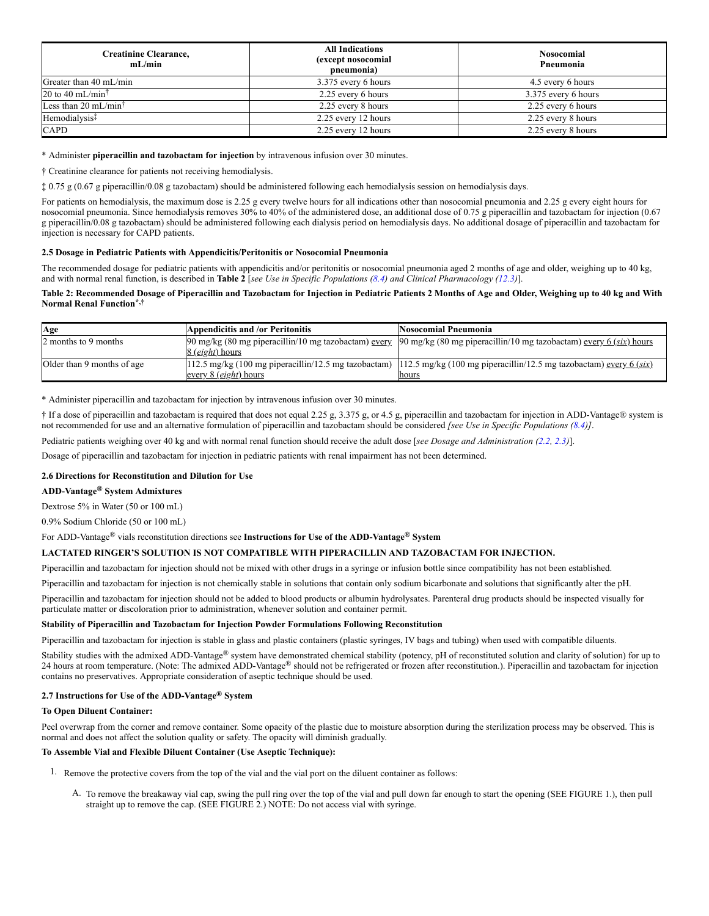| <b>Creatinine Clearance,</b><br>mL/min | <b>All Indications</b><br>(except nosocomial<br>pneumonia) | <b>Nosocomial</b><br>Pneumonia |  |
|----------------------------------------|------------------------------------------------------------|--------------------------------|--|
| Greater than 40 mL/min                 | 3.375 every 6 hours                                        | 4.5 every 6 hours              |  |
| 20 to 40 mL/min <sup>†</sup>           | 2.25 every 6 hours                                         | 3.375 every 6 hours            |  |
| Less than 20 mL/min <sup>†</sup>       | 2.25 every 8 hours                                         | 2.25 every 6 hours             |  |
| Hemodialysis <sup>1</sup>              | 2.25 every 12 hours                                        | 2.25 every 8 hours             |  |
| <b>CAPD</b>                            | 2.25 every 12 hours                                        | 2.25 every 8 hours             |  |

\* Administer **piperacillin and tazobactam for injection** by intravenous infusion over 30 minutes.

† Creatinine clearance for patients not receiving hemodialysis.

‡ 0.75 g (0.67 g piperacillin/0.08 g tazobactam) should be administered following each hemodialysis session on hemodialysis days.

For patients on hemodialysis, the maximum dose is 2.25 g every twelve hours for all indications other than nosocomial pneumonia and 2.25 g every eight hours for nosocomial pneumonia. Since hemodialysis removes 30% to 40% of the administered dose, an additional dose of 0.75 g piperacillin and tazobactam for injection (0.67 g piperacillin/0.08 g tazobactam) should be administered following each dialysis period on hemodialysis days. No additional dosage of piperacillin and tazobactam for injection is necessary for CAPD patients.

## <span id="page-2-0"></span>**2.5 Dosage in Pediatric Patients with Appendicitis/Peritonitis or Nosocomial Pneumonia**

The recommended dosage for pediatric patients with appendicitis and/or peritonitis or nosocomial pneumonia aged 2 months of age and older, weighing up to 40 kg, and with normal renal function, is described in **Table 2** [*see Use in Specific Populations [\(8.4](#page-8-8)) and Clinical Pharmacology [\(12.3](#page-11-3))*].

## **Table 2: Recommended Dosage of Piperacillin and Tazobactam for Injection in Pediatric Patients 2 Months of Age and Older, Weighing up to 40 kg and With Normal Renal Function \*,†**

| Age                        | <b>Appendicitis and /or Peritonitis</b>   | Nosocomial Pneumonia                                                                                                    |
|----------------------------|-------------------------------------------|-------------------------------------------------------------------------------------------------------------------------|
| 2 months to 9 months       |                                           | 90 mg/kg (80 mg piperacillin/10 mg tazobactam) every 90 mg/kg (80 mg piperacillin/10 mg tazobactam) every 6 (six) hours |
|                            | 8 ( <i>eight</i> ) hours                  |                                                                                                                         |
| Older than 9 months of age |                                           | 112.5 mg/kg (100 mg piperacillin/12.5 mg tazobactam) 112.5 mg/kg (100 mg piperacillin/12.5 mg tazobactam) every 6 (six) |
|                            | <u>every <math>8</math> (eight) hours</u> | hours                                                                                                                   |

\* Administer piperacillin and tazobactam for injection by intravenous infusion over 30 minutes.

† If a dose of piperacillin and tazobactam is required that does not equal 2.25 g, 3.375 g, or 4.5 g, piperacillin and tazobactam for injection in ADD-Vantage® system is not recommended for use and an alternative formulation of piperacillin and tazobactam should be considered *[see Use in Specific Populations [\(8.4\)](#page-8-8)]*.

Pediatric patients weighing over 40 kg and with normal renal function should receive the adult dose [*see Dosage and Administration [\(2.2](#page-1-10), [2.3](#page-1-11))*].

Dosage of piperacillin and tazobactam for injection in pediatric patients with renal impairment has not been determined.

## <span id="page-2-1"></span>**2.6 Directions for Reconstitution and Dilution for Use**

# **ADD-Vantage System Admixtures ®**

Dextrose 5% in Water (50 or 100 mL)

0.9% Sodium Chloride (50 or 100 mL)

For ADD-Vantage<sup>®</sup> vials reconstitution directions see Instructions for Use of the ADD-Vantage<sup>®</sup> System

## **LACTATED RINGER'S SOLUTION IS NOT COMPATIBLE WITH PIPERACILLIN AND TAZOBACTAM FOR INJECTION.**

Piperacillin and tazobactam for injection should not be mixed with other drugs in a syringe or infusion bottle since compatibility has not been established.

Piperacillin and tazobactam for injection is not chemically stable in solutions that contain only sodium bicarbonate and solutions that significantly alter the pH.

Piperacillin and tazobactam for injection should not be added to blood products or albumin hydrolysates. Parenteral drug products should be inspected visually for particulate matter or discoloration prior to administration, whenever solution and container permit.

## **Stability of Piperacillin and Tazobactam for Injection Powder Formulations Following Reconstitution**

Piperacillin and tazobactam for injection is stable in glass and plastic containers (plastic syringes, IV bags and tubing) when used with compatible diluents.

Stability studies with the admixed ADD-Vantage® system have demonstrated chemical stability (potency, pH of reconstituted solution and clarity of solution) for up to 24 hours at room temperature. (Note: The admixed ADD-Vantage® should not be refrigerated or frozen after reconstitution.). Piperacillin and tazobactam for injection contains no preservatives. Appropriate consideration of aseptic technique should be used.

## <span id="page-2-2"></span>**2.7 Instructions for Use of the ADD-Vantage System ®**

### **To Open Diluent Container:**

Peel overwrap from the corner and remove container. Some opacity of the plastic due to moisture absorption during the sterilization process may be observed. This is normal and does not affect the solution quality or safety. The opacity will diminish gradually.

## **To Assemble Vial and Flexible Diluent Container (Use Aseptic Technique):**

- 1. Remove the protective covers from the top of the vial and the vial port on the diluent container as follows:
	- A. To remove the breakaway vial cap, swing the pull ring over the top of the vial and pull down far enough to start the opening (SEE FIGURE 1.), then pull straight up to remove the cap. (SEE FIGURE 2.) NOTE: Do not access vial with syringe.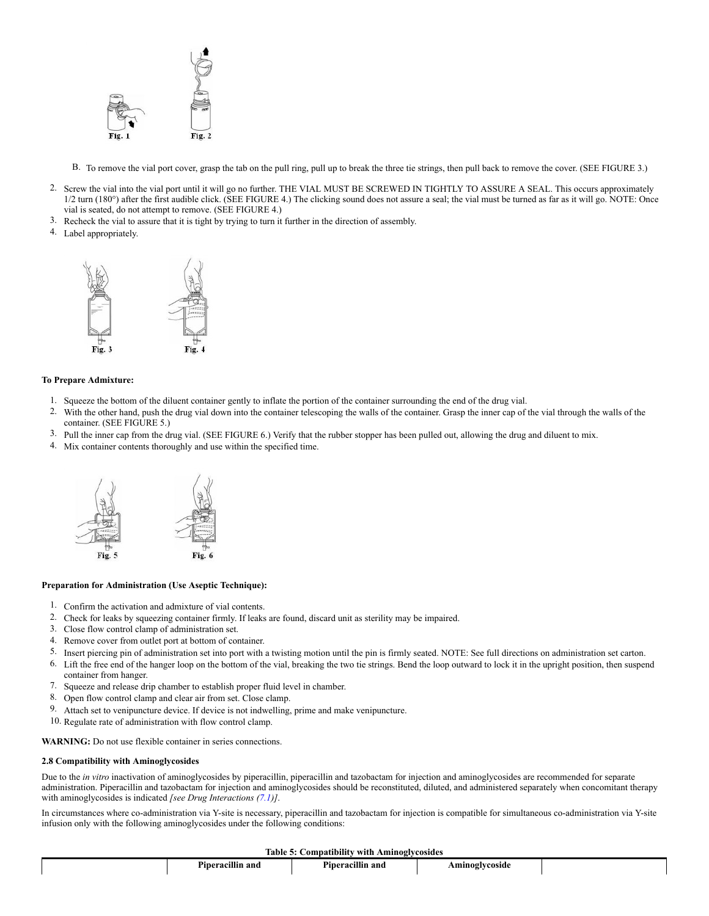

B. To remove the vial port cover, grasp the tab on the pull ring, pull up to break the three tie strings, then pull back to remove the cover. (SEE FIGURE 3.)

- 2. Screw the vial into the vial port until it will go no further. THE VIAL MUST BE SCREWED IN TIGHTLY TO ASSURE A SEAL. This occurs approximately  $1/2$  turn  $(180^\circ)$  after the first audible click. (SEE FIGURE 4.) The clicking sound does not assure a seal; the vial must be turned as far as it will go. NOTE: Once vial is seated, do not attempt to remove. (SEE FIGURE 4.)
- 3. Recheck the vial to assure that it is tight by trying to turn it further in the direction of assembly.
- 4. Label appropriately.



## **To Prepare Admixture:**

- 1. Squeeze the bottom of the diluent container gently to inflate the portion of the container surrounding the end of the drug vial.
- 2. With the other hand, push the drug vial down into the container telescoping the walls of the container. Grasp the inner cap of the vial through the walls of the container. (SEE FIGURE 5.)
- 3. Pull the inner cap from the drug vial. (SEE FIGURE 6.) Verify that the rubber stopper has been pulled out, allowing the drug and diluent to mix.
- 4. Mix container contents thoroughly and use within the specified time.



## **Preparation for Administration (Use Aseptic Technique):**

- 1. Confirm the activation and admixture of vial contents.
- 2. Check for leaks by squeezing container firmly. If leaks are found, discard unit as sterility may be impaired.
- 3. Close flow control clamp of administration set.
- 4. Remove cover from outlet port at bottom of container.
- 5. Insert piercing pin of administration set into port with a twisting motion until the pin is firmly seated. NOTE: See full directions on administration set carton.
- 6. Lift the free end of the hanger loop on the bottom of the vial, breaking the two tie strings. Bend the loop outward to lock it in the upright position, then suspend container from hanger.
- 7. Squeeze and release drip chamber to establish proper fluid level in chamber.
- 8. Open flow control clamp and clear air from set. Close clamp.
- 9. Attach set to venipuncture device. If device is not indwelling, prime and make venipuncture.
- 10. Regulate rate of administration with flow control clamp.

**WARNING:** Do not use flexible container in series connections.

#### <span id="page-3-0"></span>**2.8 Compatibility with Aminoglycosides**

Due to the *in vitro* inactivation of aminoglycosides by piperacillin, piperacillin and tazobactam for injection and aminoglycosides are recommended for separate administration. Piperacillin and tazobactam for injection and aminoglycosides should be reconstituted, diluted, and administered separately when concomitant therapy with aminoglycosides is indicated *[see Drug Interactions (7.1)]*.

In circumstances where co-administration via Y-site is necessary, piperacillin and tazobactam for injection is compatible for simultaneous co-administration via Y-site infusion only with the following aminoglycosides under the following conditions:

### **Table 5: Compatibility with Aminoglycosides**

| ταυιν<br>Companier<br>— with Allinozivcosiucs |                      |                             |                |  |  |  |
|-----------------------------------------------|----------------------|-----------------------------|----------------|--|--|--|
|                                               | <br>Piperacillin and | <br>- -<br>Piperacillin and | Aminoglycoside |  |  |  |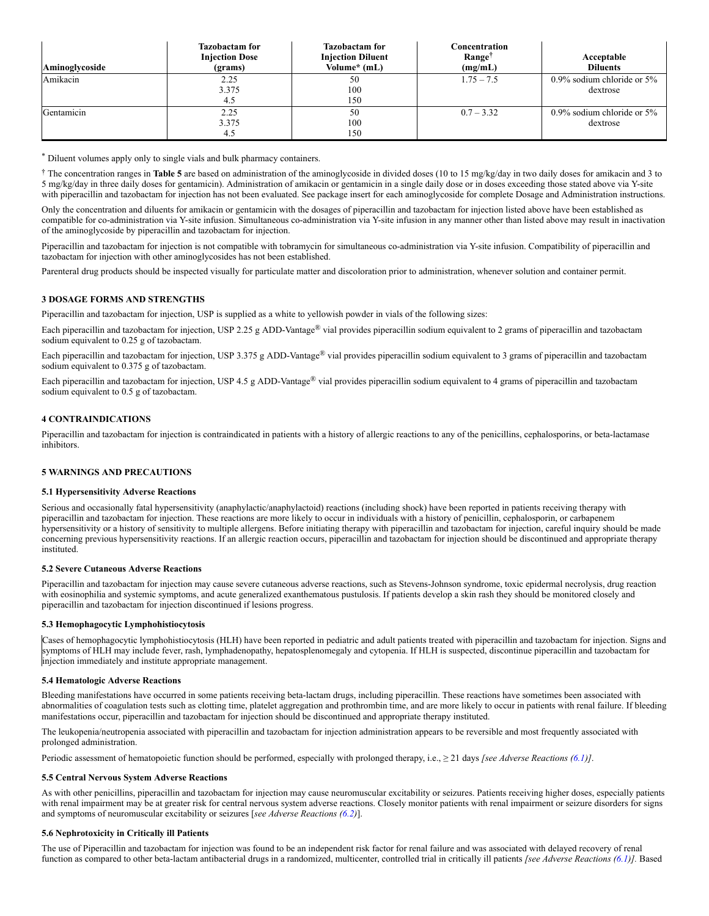| Aminoglycoside | <b>Tazobactam for</b><br><b>Injection Dose</b><br>(grams) | <b>Tazobactam for</b><br><b>Injection Diluent</b><br>Volume* (mL) | Concentration<br>Range <sup>†</sup><br>(mg/mL) | Acceptable<br><b>Diluents</b>             |
|----------------|-----------------------------------------------------------|-------------------------------------------------------------------|------------------------------------------------|-------------------------------------------|
| Amikacin       | 2.25<br>3.375<br>4.5                                      | 50<br>100<br>150                                                  | $1.75 - 7.5$                                   | $0.9\%$ sodium chloride or 5%<br>dextrose |
| Gentamicin     | 2.25<br>3.375<br>4.5                                      | 50<br>100<br>150                                                  | $0.7 - 3.32$                                   | $0.9\%$ sodium chloride or 5%<br>dextrose |

Diluent volumes apply only to single vials and bulk pharmacy containers. \*

<sup>†</sup> The concentration ranges in Table 5 are based on administration of the aminoglycoside in divided doses (10 to 15 mg/kg/day in two daily doses for amikacin and 3 to 5 mg/kg/day in three daily doses for gentamicin). Administration of amikacin or gentamicin in a single daily dose or in doses exceeding those stated above via Y-site with piperacillin and tazobactam for injection has not been evaluated. See package insert for each aminoglycoside for complete Dosage and Administration instructions.

Only the concentration and diluents for amikacin or gentamicin with the dosages of piperacillin and tazobactam for injection listed above have been established as compatible for co-administration via Y-site infusion. Simultaneous co-administration via Y-site infusion in any manner other than listed above may result in inactivation of the aminoglycoside by piperacillin and tazobactam for injection.

Piperacillin and tazobactam for injection is not compatible with tobramycin for simultaneous co-administration via Y-site infusion. Compatibility of piperacillin and tazobactam for injection with other aminoglycosides has not been established.

Parenteral drug products should be inspected visually for particulate matter and discoloration prior to administration, whenever solution and container permit.

## <span id="page-4-1"></span>**3 DOSAGE FORMS AND STRENGTHS**

Piperacillin and tazobactam for injection, USP is supplied as a white to yellowish powder in vials of the following sizes:

Each piperacillin and tazobactam for injection, USP 2.25 g ADD-Vantage® vial provides piperacillin sodium equivalent to 2 grams of piperacillin and tazobactam sodium equivalent to 0.25 g of tazobactam.

Each piperacillin and tazobactam for injection, USP 3.375 g ADD-Vantage® vial provides piperacillin sodium equivalent to 3 grams of piperacillin and tazobactam sodium equivalent to 0.375 g of tazobactam.

Each piperacillin and tazobactam for injection, USP 4.5 g ADD-Vantage® vial provides piperacillin sodium equivalent to 4 grams of piperacillin and tazobactam sodium equivalent to 0.5 g of tazobactam.

### <span id="page-4-2"></span>**4 CONTRAINDICATIONS**

Piperacillin and tazobactam for injection is contraindicated in patients with a history of allergic reactions to any of the penicillins, cephalosporins, or beta-lactamase inhibitors.

### <span id="page-4-8"></span>**5 WARNINGS AND PRECAUTIONS**

#### <span id="page-4-3"></span>**5.1 Hypersensitivity Adverse Reactions**

Serious and occasionally fatal hypersensitivity (anaphylactic/anaphylactoid) reactions (including shock) have been reported in patients receiving therapy with piperacillin and tazobactam for injection. These reactions are more likely to occur in individuals with a history of penicillin, cephalosporin, or carbapenem hypersensitivity or a history of sensitivity to multiple allergens. Before initiating therapy with piperacillin and tazobactam for injection, careful inquiry should be made concerning previous hypersensitivity reactions. If an allergic reaction occurs, piperacillin and tazobactam for injection should be discontinued and appropriate therapy instituted.

### <span id="page-4-4"></span>**5.2 Severe Cutaneous Adverse Reactions**

Piperacillin and tazobactam for injection may cause severe cutaneous adverse reactions, such as Stevens-Johnson syndrome, toxic epidermal necrolysis, drug reaction with eosinophilia and systemic symptoms, and acute generalized exanthematous pustulosis. If patients develop a skin rash they should be monitored closely and piperacillin and tazobactam for injection discontinued if lesions progress.

#### <span id="page-4-0"></span>**5.3 Hemophagocytic Lymphohistiocytosis**

Cases of hemophagocytic lymphohistiocytosis (HLH) have been reported in pediatric and adult patients treated with piperacillin and tazobactam for injection. Signs and symptoms of HLH may include fever, rash, lymphadenopathy, hepatosplenomegaly and cytopenia. If HLH is suspected, discontinue piperacillin and tazobactam for injection immediately and institute appropriate management.

### <span id="page-4-5"></span>**5.4 Hematologic Adverse Reactions**

Bleeding manifestations have occurred in some patients receiving beta-lactam drugs, including piperacillin. These reactions have sometimes been associated with abnormalities of coagulation tests such as clotting time, platelet aggregation and prothrombin time, and are more likely to occur in patients with renal failure. If bleeding manifestations occur, piperacillin and tazobactam for injection should be discontinued and appropriate therapy instituted.

The leukopenia/neutropenia associated with piperacillin and tazobactam for injection administration appears to be reversible and most frequently associated with prolonged administration.

Periodic assessment of hematopoietic function should be performed, especially with prolonged therapy, i.e., ≥ 21 days *[see Adverse Reactions [\(6.1\)](#page-5-0)]*.

#### <span id="page-4-6"></span>**5.5 Central Nervous System Adverse Reactions**

As with other penicillins, piperacillin and tazobactam for injection may cause neuromuscular excitability or seizures. Patients receiving higher doses, especially patients with renal impairment may be at greater risk for central nervous system adverse reactions. Closely monitor patients with renal impairment or seizure disorders for signs and symptoms of neuromuscular excitability or seizures [*see Adverse Reactions ([6.2\)](#page-5-5)*].

#### <span id="page-4-7"></span>**5.6 Nephrotoxicity in Critically ill Patients**

The use of Piperacillin and tazobactam for injection was found to be an independent risk factor for renal failure and was associated with delayed recovery of renal function as compared to other beta-lactam antibacterial drugs in a randomized, multicenter, controlled trial in critically ill patients *[see Adverse Reactions [\(6.1](#page-5-0))].* Based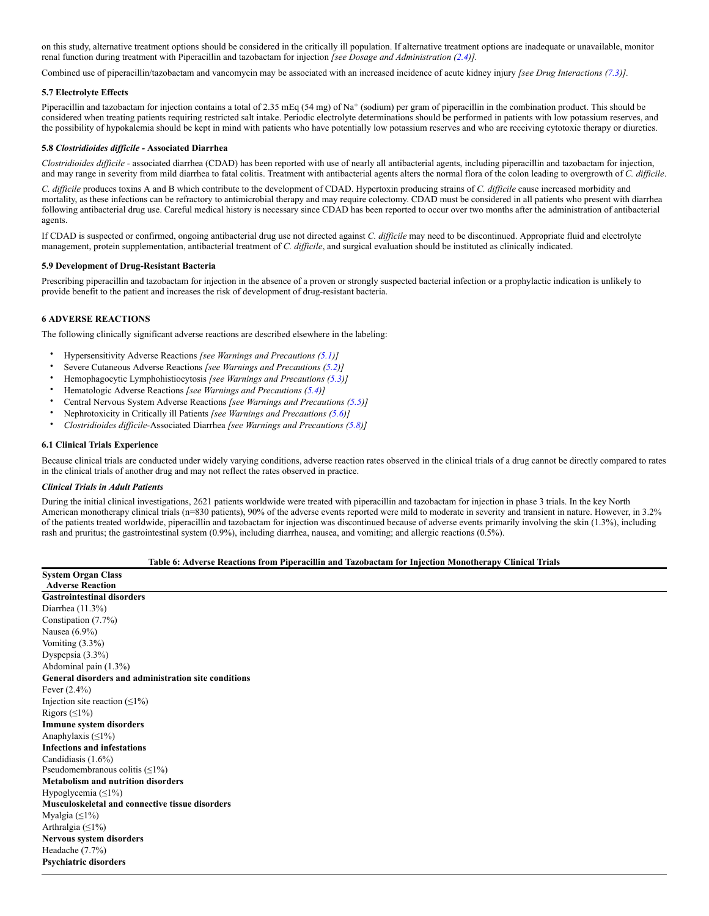on this study, alternative treatment options should be considered in the critically ill population. If alternative treatment options are inadequate or unavailable, monitor renal function during treatment with Piperacillin and tazobactam for injection *[see Dosage and Administration [\(2.4](#page-1-12))].*

Combined use of piperacillin/tazobactam and vancomycin may be associated with an increased incidence of acute kidney injury *[see Drug Interactions [\(7.3](#page-8-0))].*

## <span id="page-5-2"></span>**5.7 Electrolyte Effects**

Piperacillin and tazobactam for injection contains a total of 2.35 mEq (54 mg) of Na<sup>+</sup> (sodium) per gram of piperacillin in the combination product. This should be considered when treating patients requiring restricted salt intake. Periodic electrolyte determinations should be performed in patients with low potassium reserves, and the possibility of hypokalemia should be kept in mind with patients who have potentially low potassium reserves and who are receiving cytotoxic therapy or diuretics.

### <span id="page-5-1"></span>**5.8** *Clostridioides difficile -* **Associated Diarrhea**

*Clostridioides difficile -* associated diarrhea (CDAD) has been reported with use of nearly all antibacterial agents, including piperacillin and tazobactam for injection, and may range in severity from mild diarrhea to fatal colitis. Treatment with antibacterial agents alters the normal flora of the colon leading to overgrowth of *C. difficile*.

*C. difficile* produces toxins A and B which contribute to the development of CDAD. Hypertoxin producing strains of *C. difficile* cause increased morbidity and mortality, as these infections can be refractory to antimicrobial therapy and may require colectomy. CDAD must be considered in all patients who present with diarrhea following antibacterial drug use. Careful medical history is necessary since CDAD has been reported to occur over two months after the administration of antibacterial agents.

If CDAD is suspected or confirmed, ongoing antibacterial drug use not directed against *C. difficile* may need to be discontinued. Appropriate fluid and electrolyte management, protein supplementation, antibacterial treatment of *C. difficile*, and surgical evaluation should be instituted as clinically indicated.

### <span id="page-5-3"></span>**5.9 Development of Drug-Resistant Bacteria**

Prescribing piperacillin and tazobactam for injection in the absence of a proven or strongly suspected bacterial infection or a prophylactic indication is unlikely to provide benefit to the patient and increases the risk of development of drug-resistant bacteria.

## <span id="page-5-4"></span>**6 ADVERSE REACTIONS**

<span id="page-5-0"></span>The following clinically significant adverse reactions are described elsewhere in the labeling:

- Hypersensitivity Adverse Reactions *[see Warnings and Precautions ([5.1](#page-4-3))]*
- Severe Cutaneous Adverse Reactions *[see Warnings and Precautions [\(5.2](#page-4-4))]*
- Hemophagocytic Lymphohistiocytosis *[see Warnings and Precautions [\(5.3\)](#page-4-0)]*
- Hematologic Adverse Reactions *[see Warnings and Precautions ([5.4](#page-4-5))]*
- Central Nervous System Adverse Reactions *[see Warnings and Precautions [\(5.5](#page-4-6))]*
- Nephrotoxicity in Critically ill Patients *[see Warnings and Precautions ([5.6\)](#page-4-7)]*
- *Clostridioides difficile*-Associated Diarrhea *[see Warnings and Precautions ([5.8](#page-5-1))]*

## <span id="page-5-5"></span>**6.1 Clinical Trials Experience**

Because clinical trials are conducted under widely varying conditions, adverse reaction rates observed in the clinical trials of a drug cannot be directly compared to rates in the clinical trials of another drug and may not reflect the rates observed in practice.

### *Clinical Trials in Adult Patients*

During the initial clinical investigations, 2621 patients worldwide were treated with piperacillin and tazobactam for injection in phase 3 trials. In the key North American monotherapy clinical trials (n=830 patients), 90% of the adverse events reported were mild to moderate in severity and transient in nature. However, in 3.2% of the patients treated worldwide, piperacillin and tazobactam for injection was discontinued because of adverse events primarily involving the skin (1.3%), including rash and pruritus; the gastrointestinal system (0.9%), including diarrhea, nausea, and vomiting; and allergic reactions (0.5%).

## **Table 6: Adverse Reactions from Piperacillin and Tazobactam for Injection Monotherapy Clinical Trials**

**System Organ Class Adverse Reaction Gastrointestinal disorders** Diarrhea (11.3%) Constipation (7.7%) Nausea (6.9%) Vomiting (3.3%) Dyspepsia (3.3%) Abdominal pain (1.3%) **General disorders and administration site conditions** Fever (2.4%) Injection site reaction  $(≤1%)$ Rigors  $(≤1%)$ **Immune system disorders** Anaphylaxis (≤1%) **Infections and infestations** Candidiasis (1.6%) Pseudomembranous colitis (≤1%) **Metabolism and nutrition disorders** Hypoglycemia (≤1%) **Musculoskeletal and connective tissue disorders** Myalgia (≤1%) Arthralgia (≤1%) **Nervous system disorders** Headache (7.7%) **Psychiatric disorders**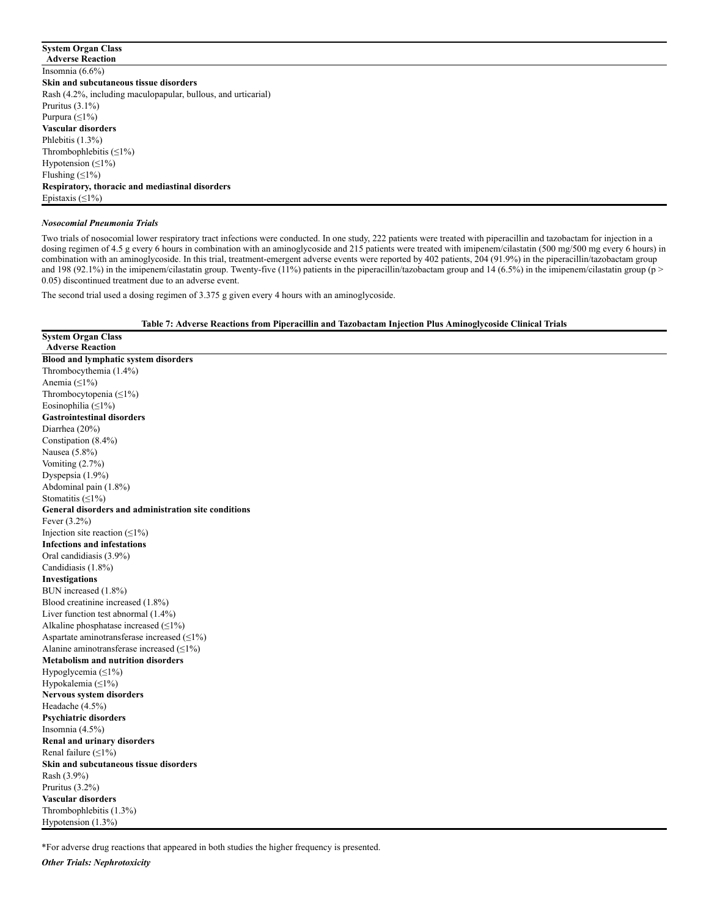## **System Organ Class**

**Adverse Reaction** Insomnia (6.6%) **Skin and subcutaneous tissue disorders** Rash (4.2%, including maculopapular, bullous, and urticarial) Pruritus (3.1%) Purpura (≤1%) **Vascular disorders** Phlebitis (1.3%) Thrombophlebitis (≤1%) Hypotension  $(≤1%)$ Flushing (≤1%) **Respiratory, thoracic and mediastinal disorders** Epistaxis (≤1%)

### *Nosocomial Pneumonia Trials*

Two trials of nosocomial lower respiratory tract infections were conducted. In one study, 222 patients were treated with piperacillin and tazobactam for injection in a dosing regimen of 4.5 g every 6 hours in combination with an aminoglycoside and 215 patients were treated with imipenem/cilastatin (500 mg/500 mg every 6 hours) in combination with an aminoglycoside. In this trial, treatment-emergent adverse events were reported by 402 patients, 204 (91.9%) in the piperacillin/tazobactam group and 198 (92.1%) in the imipenem/cilastatin group. Twenty-five (11%) patients in the piperacillin/tazobactam group and 14 (6.5%) in the imipenem/cilastatin group (p > 0.05) discontinued treatment due to an adverse event.

The second trial used a dosing regimen of 3.375 g given every 4 hours with an aminoglycoside.

**Table 7: Adverse Reactions from Piperacillin and Tazobactam Injection Plus Aminoglycoside Clinical Trials**

**System Organ Class Adverse Reaction Blood and lymphatic system disorders** Thrombocythemia (1.4%) Anemia (≤1%) Thrombocytopenia  $(≤1%)$ Eosinophilia (≤1%) **Gastrointestinal disorders** Diarrhea (20%) Constipation (8.4%) Nausea (5.8%) Vomiting (2.7%) Dyspepsia (1.9%) Abdominal pain (1.8%) Stomatitis  $(≤1%)$ **General disorders and administration site conditions** Fever (3.2%) Injection site reaction  $(\leq 1\%)$ **Infections and infestations** Oral candidiasis (3.9%) Candidiasis (1.8%) **Investigations** BUN increased (1.8%) Blood creatinine increased (1.8%) Liver function test abnormal (1.4%) Alkaline phosphatase increased  $(\leq 1\%)$ Aspartate aminotransferase increased  $(\leq1\%)$ Alanine aminotransferase increased  $(≤1%)$ **Metabolism and nutrition disorders** Hypoglycemia  $(\leq 1\%)$ Hypokalemia (≤1%) **Nervous system disorders** Headache (4.5%) **Psychiatric disorders** Insomnia (4.5%) **Renal and urinary disorders** Renal failure (≤1%) **Skin and subcutaneous tissue disorders** Rash (3.9%) Pruritus (3.2%) **Vascular disorders** Thrombophlebitis (1.3%) Hypotension (1.3%)

\*For adverse drug reactions that appeared in both studies the higher frequency is presented.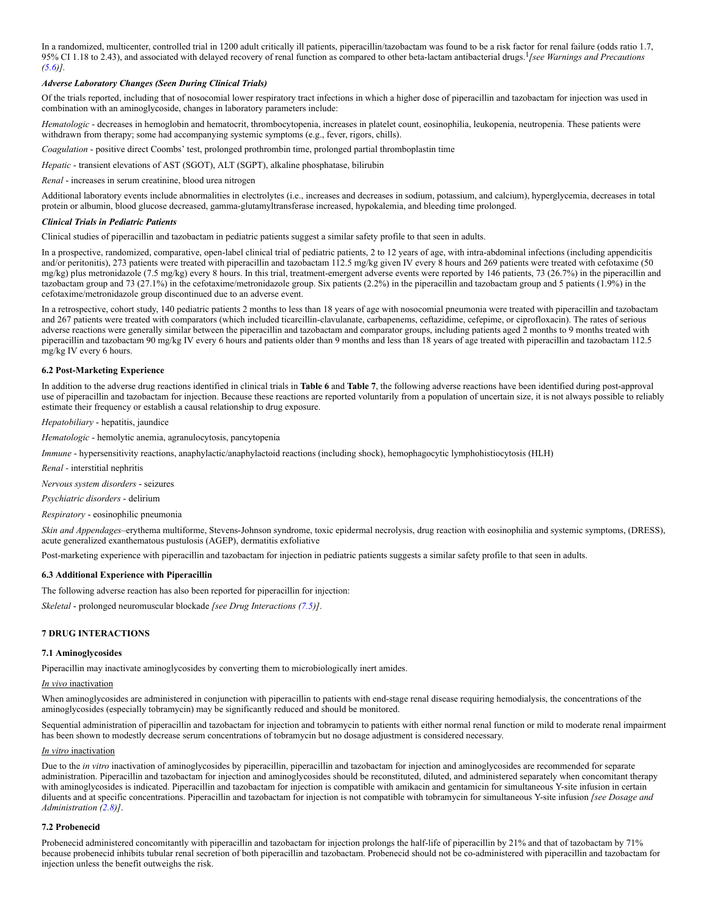In a randomized, multicenter, controlled trial in 1200 adult critically ill patients, piperacillin/tazobactam was found to be a risk factor for renal failure (odds ratio 1.7, 95% CI 1.18 to 2.43), and associated with delayed recovery of renal function as compared to other beta-lactam antibacterial drugs. *[see Warnings and Precautions* 1*[\(5.6](#page-4-7))].*

## *Adverse Laboratory Changes (Seen During Clinical Trials)*

Of the trials reported, including that of nosocomial lower respiratory tract infections in which a higher dose of piperacillin and tazobactam for injection was used in combination with an aminoglycoside, changes in laboratory parameters include:

*Hematologic* - decreases in hemoglobin and hematocrit, thrombocytopenia, increases in platelet count, eosinophilia, leukopenia, neutropenia. These patients were withdrawn from therapy; some had accompanying systemic symptoms (e.g., fever, rigors, chills).

*Coagulation* - positive direct Coombs' test, prolonged prothrombin time, prolonged partial thromboplastin time

*Hepatic* - transient elevations of AST (SGOT), ALT (SGPT), alkaline phosphatase, bilirubin

*Renal* - increases in serum creatinine, blood urea nitrogen

Additional laboratory events include abnormalities in electrolytes (i.e., increases and decreases in sodium, potassium, and calcium), hyperglycemia, decreases in total protein or albumin, blood glucose decreased, gamma-glutamyltransferase increased, hypokalemia, and bleeding time prolonged.

## *Clinical Trials in Pediatric Patients*

Clinical studies of piperacillin and tazobactam in pediatric patients suggest a similar safety profile to that seen in adults.

In a prospective, randomized, comparative, open-label clinical trial of pediatric patients, 2 to 12 years of age, with intra-abdominal infections (including appendicitis and/or peritonitis), 273 patients were treated with piperacillin and tazobactam 112.5 mg/kg given IV every 8 hours and 269 patients were treated with cefotaxime (50 mg/kg) plus metronidazole (7.5 mg/kg) every 8 hours. In this trial, treatment-emergent adverse events were reported by 146 patients, 73 (26.7%) in the piperacillin and tazobactam group and 73 (27.1%) in the cefotaxime/metronidazole group. Six patients (2.2%) in the piperacillin and tazobactam group and 5 patients (1.9%) in the cefotaxime/metronidazole group discontinued due to an adverse event.

In a retrospective, cohort study, 140 pediatric patients 2 months to less than 18 years of age with nosocomial pneumonia were treated with piperacillin and tazobactam and 267 patients were treated with comparators (which included ticarcillin-clavulanate, carbapenems, ceftazidime, cefepime, or ciprofloxacin). The rates of serious adverse reactions were generally similar between the piperacillin and tazobactam and comparator groups, including patients aged 2 months to 9 months treated with piperacillin and tazobactam 90 mg/kg IV every 6 hours and patients older than 9 months and less than 18 years of age treated with piperacillin and tazobactam 112.5 mg/kg IV every 6 hours.

## <span id="page-7-4"></span>**6.2 Post-Marketing Experience**

In addition to the adverse drug reactions identified in clinical trials in **Table 6** and **Table 7**, the following adverse reactions have been identified during post-approval use of piperacillin and tazobactam for injection. Because these reactions are reported voluntarily from a population of uncertain size, it is not always possible to reliably estimate their frequency or establish a causal relationship to drug exposure.

*Hepatobiliary* - hepatitis, jaundice

*Hematologic* - hemolytic anemia, agranulocytosis, pancytopenia

*Immune* - hypersensitivity reactions, anaphylactic/anaphylactoid reactions (including shock), hemophagocytic lymphohistiocytosis (HLH)

*Renal -* interstitial nephritis

*Nervous system disorders* - seizures

*Psychiatric disorders* - delirium

*Respiratory* - eosinophilic pneumonia

*Skin and Appendages*–erythema multiforme, Stevens-Johnson syndrome, toxic epidermal necrolysis, drug reaction with eosinophilia and systemic symptoms, (DRESS), acute generalized exanthematous pustulosis (AGEP), dermatitis exfoliative

Post-marketing experience with piperacillin and tazobactam for injection in pediatric patients suggests a similar safety profile to that seen in adults.

## <span id="page-7-0"></span>**6.3 Additional Experience with Piperacillin**

The following adverse reaction has also been reported for piperacillin for injection:

*Skeletal* - prolonged neuromuscular blockade *[see Drug Interactions [\(7.5](#page-8-2))]*.

## <span id="page-7-1"></span>**7 DRUG INTERACTIONS**

### <span id="page-7-2"></span>**7.1 Aminoglycosides**

Piperacillin may inactivate aminoglycosides by converting them to microbiologically inert amides.

### *In vivo* inactivation

When aminoglycosides are administered in conjunction with piperacillin to patients with end-stage renal disease requiring hemodialysis, the concentrations of the aminoglycosides (especially tobramycin) may be significantly reduced and should be monitored.

Sequential administration of piperacillin and tazobactam for injection and tobramycin to patients with either normal renal function or mild to moderate renal impairment has been shown to modestly decrease serum concentrations of tobramycin but no dosage adjustment is considered necessary.

### *In vitro* inactivation

Due to the *in vitro* inactivation of aminoglycosides by piperacillin, piperacillin and tazobactam for injection and aminoglycosides are recommended for separate administration. Piperacillin and tazobactam for injection and aminoglycosides should be reconstituted, diluted, and administered separately when concomitant therapy with aminoglycosides is indicated. Piperacillin and tazobactam for injection is compatible with amikacin and gentamicin for simultaneous Y-site infusion in certain diluents and at specific concentrations. Piperacillin and tazobactam for injection is not compatible with tobramycin for simultaneous Y-site infusion *[see Dosage and Administration [\(2.8](#page-3-0))]*.

### <span id="page-7-3"></span>**7.2 Probenecid**

Probenecid administered concomitantly with piperacillin and tazobactam for injection prolongs the half-life of piperacillin by 21% and that of tazobactam by 71% because probenecid inhibits tubular renal secretion of both piperacillin and tazobactam. Probenecid should not be co-administered with piperacillin and tazobactam for injection unless the benefit outweighs the risk.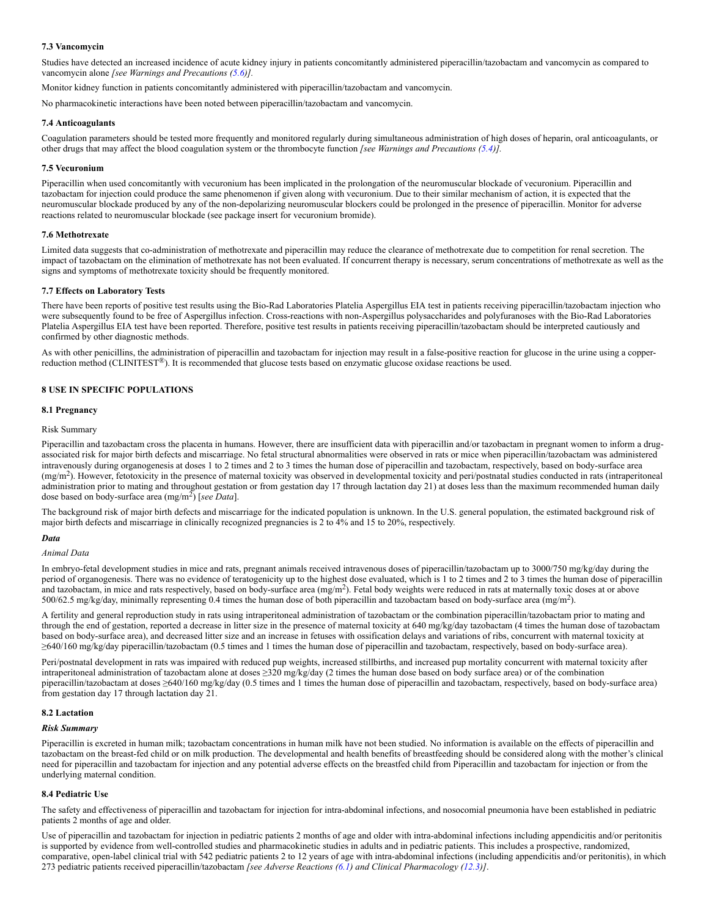## <span id="page-8-0"></span>**7.3 Vancomycin**

Studies have detected an increased incidence of acute kidney injury in patients concomitantly administered piperacillin/tazobactam and vancomycin as compared to vancomycin alone *[see Warnings and Precautions [\(5.6](#page-4-7))].*

Monitor kidney function in patients concomitantly administered with piperacillin/tazobactam and vancomycin.

No pharmacokinetic interactions have been noted between piperacillin/tazobactam and vancomycin.

#### <span id="page-8-1"></span>**7.4 Anticoagulants**

Coagulation parameters should be tested more frequently and monitored regularly during simultaneous administration of high doses of heparin, oral anticoagulants, or other drugs that may affect the blood coagulation system or the thrombocyte function *[see Warnings and Precautions ([5.4\)](#page-4-5)].*

#### <span id="page-8-2"></span>**7.5 Vecuronium**

Piperacillin when used concomitantly with vecuronium has been implicated in the prolongation of the neuromuscular blockade of vecuronium. Piperacillin and tazobactam for injection could produce the same phenomenon if given along with vecuronium. Due to their similar mechanism of action, it is expected that the neuromuscular blockade produced by any of the non-depolarizing neuromuscular blockers could be prolonged in the presence of piperacillin. Monitor for adverse reactions related to neuromuscular blockade (see package insert for vecuronium bromide).

### <span id="page-8-3"></span>**7.6 Methotrexate**

Limited data suggests that co-administration of methotrexate and piperacillin may reduce the clearance of methotrexate due to competition for renal secretion. The impact of tazobactam on the elimination of methotrexate has not been evaluated. If concurrent therapy is necessary, serum concentrations of methotrexate as well as the signs and symptoms of methotrexate toxicity should be frequently monitored.

### <span id="page-8-4"></span>**7.7 Effects on Laboratory Tests**

There have been reports of positive test results using the Bio-Rad Laboratories Platelia Aspergillus EIA test in patients receiving piperacillin/tazobactam injection who were subsequently found to be free of Aspergillus infection. Cross-reactions with non-Aspergillus polysaccharides and polyfuranoses with the Bio-Rad Laboratories Platelia Aspergillus EIA test have been reported. Therefore, positive test results in patients receiving piperacillin/tazobactam should be interpreted cautiously and confirmed by other diagnostic methods.

As with other penicillins, the administration of piperacillin and tazobactam for injection may result in a false-positive reaction for glucose in the urine using a copperreduction method (CLINITEST®). It is recommended that glucose tests based on enzymatic glucose oxidase reactions be used.

### <span id="page-8-5"></span>**8 USE IN SPECIFIC POPULATIONS**

#### <span id="page-8-6"></span>**8.1 Pregnancy**

#### Risk Summary

Piperacillin and tazobactam cross the placenta in humans. However, there are insufficient data with piperacillin and/or tazobactam in pregnant women to inform a drugassociated risk for major birth defects and miscarriage. No fetal structural abnormalities were observed in rats or mice when piperacillin/tazobactam was administered intravenously during organogenesis at doses 1 to 2 times and 2 to 3 times the human dose of piperacillin and tazobactam, respectively, based on body-surface area (mg/m<sup>2</sup>). However, fetotoxicity in the presence of maternal toxicity was observed in developmental toxicity and peri/postnatal studies conducted in rats (intraperitoneal administration prior to mating and throughout gestation or from gestation day 17 through lactation day 21) at doses less than the maximum recommended human daily dose based on body-surface area  $(mg/m^2)$  [*see Data*].

The background risk of major birth defects and miscarriage for the indicated population is unknown. In the U.S. general population, the estimated background risk of major birth defects and miscarriage in clinically recognized pregnancies is 2 to 4% and 15 to 20%, respectively.

#### *Data*

### *Animal Data*

In embryo-fetal development studies in mice and rats, pregnant animals received intravenous doses of piperacillin/tazobactam up to 3000/750 mg/kg/day during the period of organogenesis. There was no evidence of teratogenicity up to the highest dose evaluated, which is 1 to 2 times and 2 to 3 times the human dose of piperacillin and tazobactam, in mice and rats respectively, based on body-surface area  $(mg/m<sup>2</sup>)$ . Fetal body weights were reduced in rats at maternally toxic doses at or above  $500/62.5$  mg/kg/day, minimally representing 0.4 times the human dose of both piperacillin and tazobactam based on body-surface area (mg/m<sup>2</sup>).

A fertility and general reproduction study in rats using intraperitoneal administration of tazobactam or the combination piperacillin/tazobactam prior to mating and through the end of gestation, reported a decrease in litter size in the presence of maternal toxicity at 640 mg/kg/day tazobactam (4 times the human dose of tazobactam based on body-surface area), and decreased litter size and an increase in fetuses with ossification delays and variations of ribs, concurrent with maternal toxicity at ≥640/160 mg/kg/day piperacillin/tazobactam (0.5 times and 1 times the human dose of piperacillin and tazobactam, respectively, based on body-surface area).

Peri/postnatal development in rats was impaired with reduced pup weights, increased stillbirths, and increased pup mortality concurrent with maternal toxicity after intraperitoneal administration of tazobactam alone at doses ≥320 mg/kg/day (2 times the human dose based on body surface area) or of the combination piperacillin/tazobactam at doses ≥640/160 mg/kg/day (0.5 times and 1 times the human dose of piperacillin and tazobactam, respectively, based on body-surface area) from gestation day 17 through lactation day 21.

#### <span id="page-8-7"></span>**8.2 Lactation**

#### *Risk Summary*

Piperacillin is excreted in human milk; tazobactam concentrations in human milk have not been studied. No information is available on the effects of piperacillin and tazobactam on the breast-fed child or on milk production. The developmental and health benefits of breastfeeding should be considered along with the mother's clinical need for piperacillin and tazobactam for injection and any potential adverse effects on the breastfed child from Piperacillin and tazobactam for injection or from the underlying maternal condition.

## <span id="page-8-8"></span>**8.4 Pediatric Use**

The safety and effectiveness of piperacillin and tazobactam for injection for intra-abdominal infections, and nosocomial pneumonia have been established in pediatric patients 2 months of age and older.

Use of piperacillin and tazobactam for injection in pediatric patients 2 months of age and older with intra-abdominal infections including appendicitis and/or peritonitis is supported by evidence from well-controlled studies and pharmacokinetic studies in adults and in pediatric patients. This includes a prospective, randomized, comparative, open-label clinical trial with 542 pediatric patients 2 to 12 years of age with intra-abdominal infections (including appendicitis and/or peritonitis), in which 273 pediatric patients received piperacillin/tazobactam *[see Adverse Reactions [\(6.1](#page-5-0)) and Clinical Pharmacology [\(12.3](#page-11-3))]*.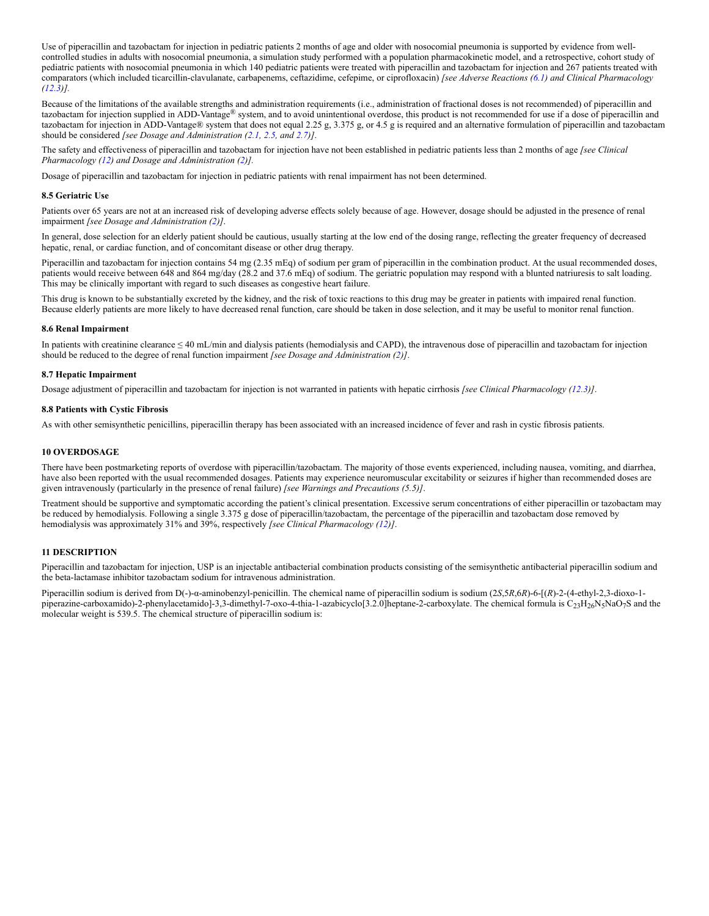Use of piperacillin and tazobactam for injection in pediatric patients 2 months of age and older with nosocomial pneumonia is supported by evidence from wellcontrolled studies in adults with nosocomial pneumonia, a simulation study performed with a population pharmacokinetic model, and a retrospective, cohort study of pediatric patients with nosocomial pneumonia in which 140 pediatric patients were treated with piperacillin and tazobactam for injection and 267 patients treated with comparators (which included ticarcillin-clavulanate, carbapenems, ceftazidime, cefepime, or ciprofloxacin) *[see Adverse Reactions [\(6.1](#page-5-0)) and Clinical Pharmacology [\(12.3](#page-11-3))].*

Because of the limitations of the available strengths and administration requirements (i.e., administration of fractional doses is not recommended) of piperacillin and tazobactam for injection supplied in ADD-Vantage® system, and to avoid unintentional overdose, this product is not recommended for use if a dose of piperacillin and tazobactam for injection in ADD-Vantage® system that does not equal 2.25 g, 3.375 g, or 4.5 g is required and an alternative formulation of piperacillin and tazobactam should be considered *[see Dosage and Administration ([2.1,](#page-1-9) [2.5,](#page-2-0) and [2.7\)](#page-2-2)]*.

The safety and effectiveness of piperacillin and tazobactam for injection have not been established in pediatric patients less than 2 months of age *[see Clinical Pharmacology ([12\)](#page-11-0) and Dosage and Administration [\(2\)](#page-1-0)].*

Dosage of piperacillin and tazobactam for injection in pediatric patients with renal impairment has not been determined.

### <span id="page-9-0"></span>**8.5 Geriatric Use**

Patients over 65 years are not at an increased risk of developing adverse effects solely because of age. However, dosage should be adjusted in the presence of renal impairment *[see Dosage and Administration [\(2\)](#page-1-0)]*.

In general, dose selection for an elderly patient should be cautious, usually starting at the low end of the dosing range, reflecting the greater frequency of decreased hepatic, renal, or cardiac function, and of concomitant disease or other drug therapy.

Piperacillin and tazobactam for injection contains 54 mg (2.35 mEq) of sodium per gram of piperacillin in the combination product. At the usual recommended doses, patients would receive between 648 and 864 mg/day (28.2 and 37.6 mEq) of sodium. The geriatric population may respond with a blunted natriuresis to salt loading. This may be clinically important with regard to such diseases as congestive heart failure.

This drug is known to be substantially excreted by the kidney, and the risk of toxic reactions to this drug may be greater in patients with impaired renal function. Because elderly patients are more likely to have decreased renal function, care should be taken in dose selection, and it may be useful to monitor renal function.

#### <span id="page-9-1"></span>**8.6 Renal Impairment**

In patients with creatinine clearance ≤ 40 mL/min and dialysis patients (hemodialysis and CAPD), the intravenous dose of piperacillin and tazobactam for injection should be reduced to the degree of renal function impairment *[see Dosage and Administration [\(2](#page-1-0))]*.

#### <span id="page-9-2"></span>**8.7 Hepatic Impairment**

Dosage adjustment of piperacillin and tazobactam for injection is not warranted in patients with hepatic cirrhosis *[see Clinical Pharmacology ([12.3\)](#page-11-3)]*.

#### <span id="page-9-3"></span>**8.8 Patients with Cystic Fibrosis**

As with other semisynthetic penicillins, piperacillin therapy has been associated with an increased incidence of fever and rash in cystic fibrosis patients.

#### <span id="page-9-4"></span>**10 OVERDOSAGE**

There have been postmarketing reports of overdose with piperacillin/tazobactam. The majority of those events experienced, including nausea, vomiting, and diarrhea, have also been reported with the usual recommended dosages. Patients may experience neuromuscular excitability or seizures if higher than recommended doses are given intravenously (particularly in the presence of renal failure) *[see Warnings and Precautions (5.5)]*.

Treatment should be supportive and symptomatic according the patient's clinical presentation. Excessive serum concentrations of either piperacillin or tazobactam may be reduced by hemodialysis. Following a single 3.375 g dose of piperacillin/tazobactam, the percentage of the piperacillin and tazobactam dose removed by hemodialysis was approximately 31% and 39%, respectively *[see Clinical Pharmacology (12)]*.

### <span id="page-9-5"></span>**11 DESCRIPTION**

Piperacillin and tazobactam for injection, USP is an injectable antibacterial combination products consisting of the semisynthetic antibacterial piperacillin sodium and the beta-lactamase inhibitor tazobactam sodium for intravenous administration.

Piperacillin sodium is derived from D(-)-α-aminobenzyl-penicillin. The chemical name of piperacillin sodium is sodium (2*S*,5*R*,6*R*)-6-[(*R*)-2-(4-ethyl-2,3-dioxo-1 piperazine-carboxamido)-2-phenylacetamido]-3,3-dimethyl-7-oxo-4-thia-1-azabicyclo[3.2.0]heptane-2-carboxylate. The chemical formula is  $C_{23}H_{26}N_5NaO_7S$  and the molecular weight is 539.5. The chemical structure of piperacillin sodium is: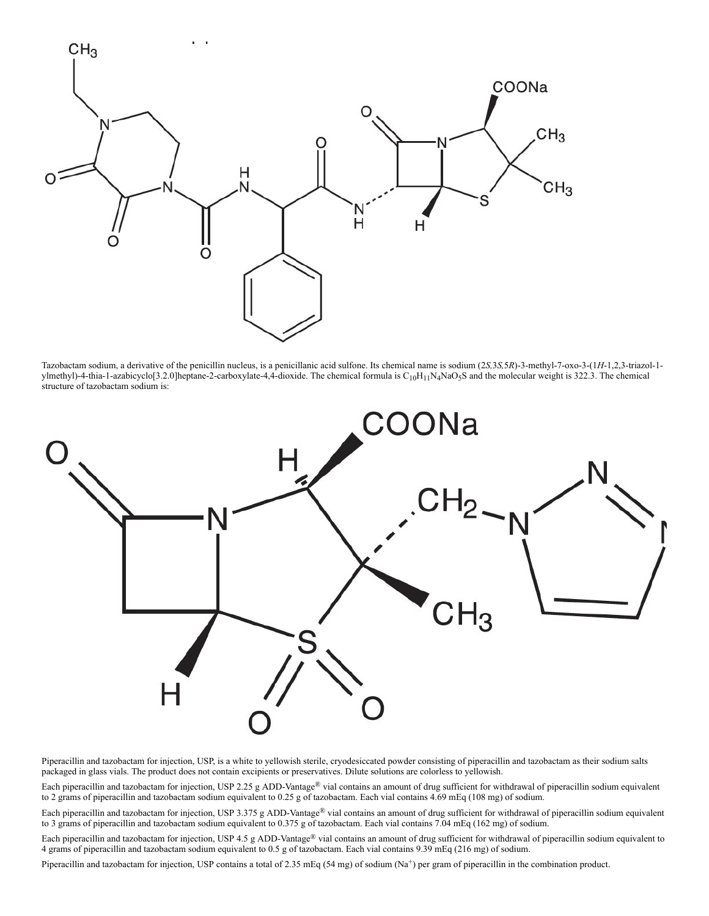

Tazobactam sodium, a derivative of the penicillin nucleus, is a penicillanic acid sulfone. Its chemical name is sodium (2*S,*3*S,*5*R*)-3-methyl-7-oxo-3-(1*H*-1,2,3-triazol-1 ylmethyl)-4-thia-1-azabicyclo[3.2.0]heptane-2-carboxylate-4,4-dioxide. The chemical formula is  $C_{10}H_{11}N_4N_4O_5S$  and the molecular weight is 322.3. The chemical structure of tazobactam sodium is:



Piperacillin and tazobactam for injection, USP, is a white to yellowish sterile, cryodesiccated powder consisting of piperacillin and tazobactam as their sodium salts packaged in glass vials. The product does not contain excipients or preservatives. Dilute solutions are colorless to yellowish.

Each piperacillin and tazobactam for injection, USP 2.25 g ADD-Vantage® vial contains an amount of drug sufficient for withdrawal of piperacillin sodium equivalent to 2 grams of piperacillin and tazobactam sodium equivalent to 0.25 g of tazobactam. Each vial contains 4.69 mEq (108 mg) of sodium.

Each piperacillin and tazobactam for injection, USP 3.375 g ADD-Vantage® vial contains an amount of drug sufficient for withdrawal of piperacillin sodium equivalent to 3 grams of piperacillin and tazobactam sodium equivalent to 0.375 g of tazobactam. Each vial contains 7.04 mEq (162 mg) of sodium.

Each piperacillin and tazobactam for injection, USP 4.5 g ADD-Vantage® vial contains an amount of drug sufficient for withdrawal of piperacillin sodium equivalent to 4 grams of piperacillin and tazobactam sodium equivalent to 0.5 g of tazobactam. Each vial contains 9.39 mEq (216 mg) of sodium.

Piperacillin and tazobactam for injection, USP contains a total of 2.35 mEq (54 mg) of sodium  $(Na<sup>+</sup>)$  per gram of piperacillin in the combination product.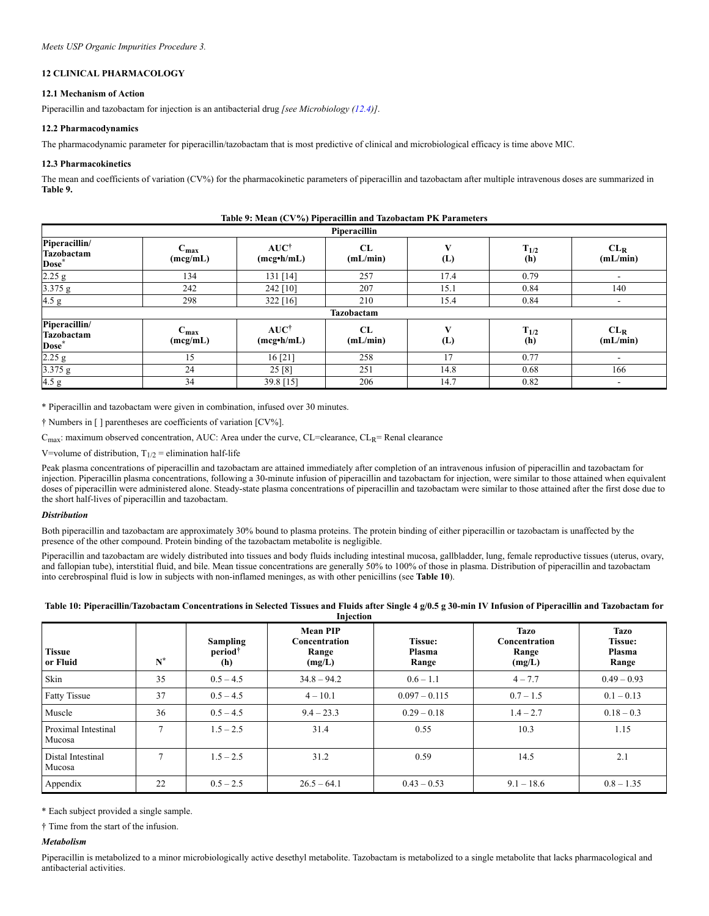## <span id="page-11-0"></span>**12 CLINICAL PHARMACOLOGY**

## <span id="page-11-1"></span>**12.1 Mechanism of Action**

Piperacillin and tazobactam for injection is an antibacterial drug *[see Microbiology [\(12.4](#page-12-0))]*.

## <span id="page-11-2"></span>**12.2 Pharmacodynamics**

The pharmacodynamic parameter for piperacillin/tazobactam that is most predictive of clinical and microbiological efficacy is time above MIC.

### <span id="page-11-3"></span>**12.3 Pharmacokinetics**

The mean and coefficients of variation (CV%) for the pharmacokinetic parameters of piperacillin and tazobactam after multiple intravenous doses are summarized in **Table 9.**

| -wave 21 meters ( $\circ$ , ) of 1 specification was two obvious that we wanted<br>Piperacillin |                              |                                              |                |          |                  |                             |  |
|-------------------------------------------------------------------------------------------------|------------------------------|----------------------------------------------|----------------|----------|------------------|-----------------------------|--|
| Piperacillin/<br>Tazobactam<br>Dose*                                                            | $C_{\text{max}}$<br>(mcg/mL) | $AUC^{\dagger}$<br>$(mcg\cdot h/mL)$         | CL<br>(mL/min) | (L)      | $T_{1/2}$<br>(h) | CL <sub>R</sub><br>(mL/min) |  |
| 2.25 g                                                                                          | 134                          | 131 [14]                                     | 257            | 17.4     | 0.79             |                             |  |
| $3.375$ g                                                                                       | 242                          | 242 [10]                                     | 207            | 15.1     | 0.84             | 140                         |  |
| 4.5 g                                                                                           | 298                          | $322$ [16]                                   | 210            | 15.4     | 0.84             |                             |  |
|                                                                                                 |                              |                                              | Tazobactam     |          |                  |                             |  |
| Piperacillin/<br>Tazobactam<br>Dose <sup>*</sup>                                                | $C_{\text{max}}$<br>(mcg/mL) | <b>AUC</b> <sup>†</sup><br>$(mcg\cdot h/mL)$ | CL<br>(mL/min) | V<br>(L) | $T_{1/2}$<br>(h) | $CL_R$<br>(mL/min)          |  |
| 2.25 g                                                                                          | 15                           | 16 [21]                                      | 258            | 17       | 0.77             |                             |  |
| 3.375 g                                                                                         | 24                           | 25 [8]                                       | 251            | 14.8     | 0.68             | 166                         |  |
| 4.5 g                                                                                           | 34                           | 39.8 [15]                                    | 206            | 14.7     | 0.82             |                             |  |

| Table 9: Mean (CV%) Piperacillin and Tazobactam PK Parameters |  |  |  |  |  |
|---------------------------------------------------------------|--|--|--|--|--|
|---------------------------------------------------------------|--|--|--|--|--|

\* Piperacillin and tazobactam were given in combination, infused over 30 minutes.

† Numbers in [ ] parentheses are coefficients of variation [CV%].

 $C_{\text{max}}$ : maximum observed concentration, AUC: Area under the curve, CL=clearance, CL<sub>R</sub>= Renal clearance

V=volume of distribution,  $T_{1/2}$  = elimination half-life

Peak plasma concentrations of piperacillin and tazobactam are attained immediately after completion of an intravenous infusion of piperacillin and tazobactam for injection. Piperacillin plasma concentrations, following a 30-minute infusion of piperacillin and tazobactam for injection, were similar to those attained when equivalent doses of piperacillin were administered alone. Steady-state plasma concentrations of piperacillin and tazobactam were similar to those attained after the first dose due to the short half-lives of piperacillin and tazobactam.

### *Distribution*

Both piperacillin and tazobactam are approximately 30% bound to plasma proteins. The protein binding of either piperacillin or tazobactam is unaffected by the presence of the other compound. Protein binding of the tazobactam metabolite is negligible.

Piperacillin and tazobactam are widely distributed into tissues and body fluids including intestinal mucosa, gallbladder, lung, female reproductive tissues (uterus, ovary, and fallopian tube), interstitial fluid, and bile. Mean tissue concentrations are generally 50% to 100% of those in plasma. Distribution of piperacillin and tazobactam into cerebrospinal fluid is low in subjects with non-inflamed meninges, as with other penicillins (see **Table 10**).

| Table 10: Piperacillin/Tazobactam Concentrations in Selected Tissues and Fluids after Single 4 g/0.5 g 30-min IV Infusion of Piperacillin and Tazobactam for |
|--------------------------------------------------------------------------------------------------------------------------------------------------------------|
| Iniection                                                                                                                                                    |

| <b>Tissue</b><br>or Fluid     | $N^*$ | <b>Sampling</b><br>period <sup>†</sup><br>(h) | <b>Mean PIP</b><br>Concentration<br>Range<br>(mg/L) | <b>Tissue:</b><br>Plasma<br>Range | <b>Tazo</b><br>Concentration<br>Range<br>(mg/L) | <b>Tazo</b><br><b>Tissue:</b><br>Plasma<br>Range |
|-------------------------------|-------|-----------------------------------------------|-----------------------------------------------------|-----------------------------------|-------------------------------------------------|--------------------------------------------------|
| Skin                          | 35    | $0.5 - 4.5$                                   | $34.8 - 94.2$                                       | $0.6 - 1.1$                       | $4 - 7.7$                                       | $0.49 - 0.93$                                    |
| <b>Fatty Tissue</b>           | 37    | $0.5 - 4.5$                                   | $4 - 10.1$                                          | $0.097 - 0.115$                   | $0.7 - 1.5$                                     | $0.1 - 0.13$                                     |
| Muscle                        | 36    | $0.5 - 4.5$                                   | $9.4 - 23.3$                                        | $0.29 - 0.18$                     | $1.4 - 2.7$                                     | $0.18 - 0.3$                                     |
| Proximal Intestinal<br>Mucosa |       | $1.5 - 2.5$                                   | 31.4                                                | 0.55                              | 10.3                                            | 1.15                                             |
| Distal Intestinal<br>Mucosa   | 7     | $1.5 - 2.5$                                   | 31.2                                                | 0.59                              | 14.5                                            | 2.1                                              |
| Appendix                      | 22    | $0.5 - 2.5$                                   | $26.5 - 64.1$                                       | $0.43 - 0.53$                     | $9.1 - 18.6$                                    | $0.8 - 1.35$                                     |

\* Each subject provided a single sample.

† Time from the start of the infusion.

### *Metabolism*

Piperacillin is metabolized to a minor microbiologically active desethyl metabolite. Tazobactam is metabolized to a single metabolite that lacks pharmacological and antibacterial activities.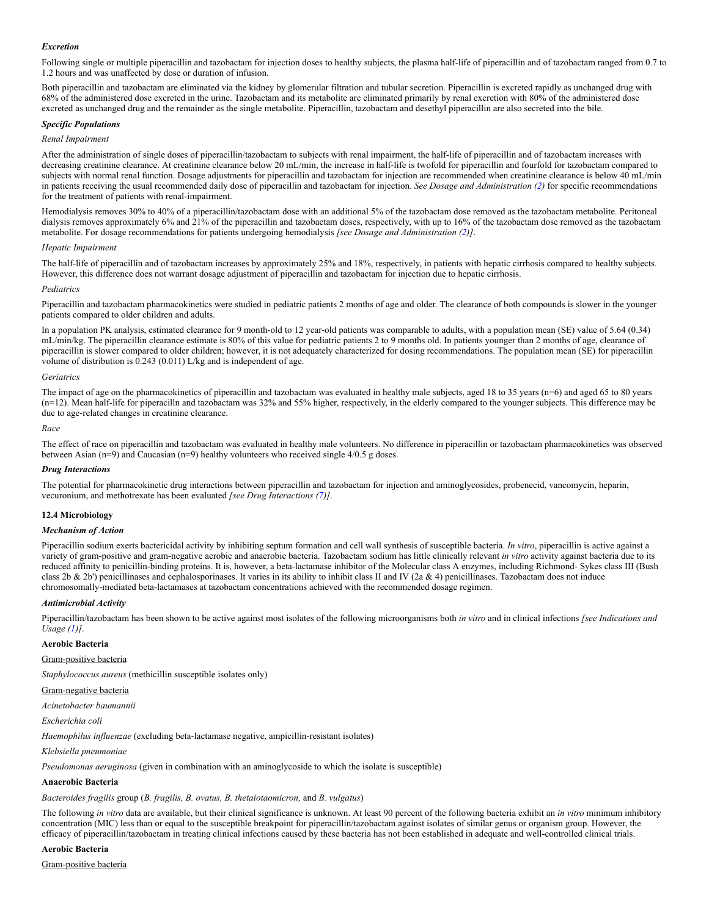### *Excretion*

Following single or multiple piperacillin and tazobactam for injection doses to healthy subjects, the plasma half-life of piperacillin and of tazobactam ranged from 0.7 to 1.2 hours and was unaffected by dose or duration of infusion.

Both piperacillin and tazobactam are eliminated via the kidney by glomerular filtration and tubular secretion. Piperacillin is excreted rapidly as unchanged drug with 68% of the administered dose excreted in the urine. Tazobactam and its metabolite are eliminated primarily by renal excretion with 80% of the administered dose excreted as unchanged drug and the remainder as the single metabolite. Piperacillin, tazobactam and desethyl piperacillin are also secreted into the bile.

### *Specific Populations*

### *Renal Impairment*

After the administration of single doses of piperacillin/tazobactam to subjects with renal impairment, the half-life of piperacillin and of tazobactam increases with decreasing creatinine clearance. At creatinine clearance below 20 mL/min, the increase in half-life is twofold for piperacillin and fourfold for tazobactam compared to subjects with normal renal function. Dosage adjustments for piperacillin and tazobactam for injection are recommended when creatinine clearance is below 40 mL/min in patients receiving the usual recommended daily dose of piperacillin and tazobactam for injection. *See Dosage and Administration [\(2](#page-1-0))* for specific recommendations for the treatment of patients with renal-impairment.

Hemodialysis removes 30% to 40% of a piperacillin/tazobactam dose with an additional 5% of the tazobactam dose removed as the tazobactam metabolite. Peritoneal dialysis removes approximately 6% and 21% of the piperacillin and tazobactam doses, respectively, with up to 16% of the tazobactam dose removed as the tazobactam metabolite. For dosage recommendations for patients undergoing hemodialysis *[see Dosage and Administration [\(2](#page-1-0))]*.

#### *Hepatic Impairment*

The half-life of piperacillin and of tazobactam increases by approximately 25% and 18%, respectively, in patients with hepatic cirrhosis compared to healthy subjects. However, this difference does not warrant dosage adjustment of piperacillin and tazobactam for injection due to hepatic cirrhosis.

#### *Pediatrics*

Piperacillin and tazobactam pharmacokinetics were studied in pediatric patients 2 months of age and older. The clearance of both compounds is slower in the younger patients compared to older children and adults.

In a population PK analysis, estimated clearance for 9 month-old to 12 year-old patients was comparable to adults, with a population mean (SE) value of 5.64 (0.34) mL/min/kg. The piperacillin clearance estimate is 80% of this value for pediatric patients 2 to 9 months old. In patients younger than 2 months of age, clearance of piperacillin is slower compared to older children; however, it is not adequately characterized for dosing recommendations. The population mean (SE) for piperacillin volume of distribution is 0.243 (0.011) L/kg and is independent of age.

### *Geriatrics*

The impact of age on the pharmacokinetics of piperacillin and tazobactam was evaluated in healthy male subjects, aged 18 to 35 years (n=6) and aged 65 to 80 years  $(n=12)$ . Mean half-life for piperacilln and tazobactam was 32% and 55% higher, respectively, in the elderly compared to the younger subjects. This difference may be due to age-related changes in creatinine clearance.

### *Race*

The effect of race on piperacillin and tazobactam was evaluated in healthy male volunteers. No difference in piperacillin or tazobactam pharmacokinetics was observed between Asian (n=9) and Caucasian (n=9) healthy volunteers who received single  $4/0.5$  g doses.

### *Drug Interactions*

The potential for pharmacokinetic drug interactions between piperacillin and tazobactam for injection and aminoglycosides, probenecid, vancomycin, heparin, vecuronium, and methotrexate has been evaluated *[see Drug Interactions [\(7](#page-7-1))]*.

### <span id="page-12-0"></span>**12.4 Microbiology**

### *Mechanism of Action*

Piperacillin sodium exerts bactericidal activity by inhibiting septum formation and cell wall synthesis of susceptible bacteria. *In vitro*, piperacillin is active against a variety of gram-positive and gram-negative aerobic and anaerobic bacteria. Tazobactam sodium has little clinically relevant *in vitro* activity against bacteria due to its reduced affinity to penicillin-binding proteins. It is, however, a beta-lactamase inhibitor of the Molecular class A enzymes, including Richmond- Sykes class III (Bush class 2b  $\&$  2b') penicillinases and cephalosporinases. It varies in its ability to inhibit class II and IV (2a  $\&$  4) penicillinases. Tazobactam does not induce chromosomally‑mediated beta-lactamases at tazobactam concentrations achieved with the recommended dosage regimen.

### *Antimicrobial Activity*

Piperacillin/tazobactam has been shown to be active against most isolates of the following microorganisms both *in vitro* and in clinical infections *[see Indications and Usage (1)]*.

### **Aerobic Bacteria**

Gram-positive bacteria

*Staphylococcus aureus* (methicillin susceptible isolates only)

Gram-negative bacteria

*Acinetobacter baumannii*

*Escherichia coli*

*Haemophilus influenzae* (excluding beta-lactamase negative, ampicillin-resistant isolates)

*Klebsiella pneumoniae*

*Pseudomonas aeruginosa* (given in combination with an aminoglycoside to which the isolate is susceptible)

### **Anaerobic Bacteria**

*Bacteroides fragilis* group (*B. fragilis, B. ovatus, B. thetaiotaomicron,* and *B. vulgatus*)

The following *in vitro* data are available, but their clinical significance is unknown. At least 90 percent of the following bacteria exhibit an *in vitro* minimum inhibitory concentration (MIC) less than or equal to the susceptible breakpoint for piperacillin/tazobactam against isolates of similar genus or organism group. However, the efficacy of piperacillin/tazobactam in treating clinical infections caused by these bacteria has not been established in adequate and well-controlled clinical trials.

### **Aerobic Bacteria**

Gram-positive bacteria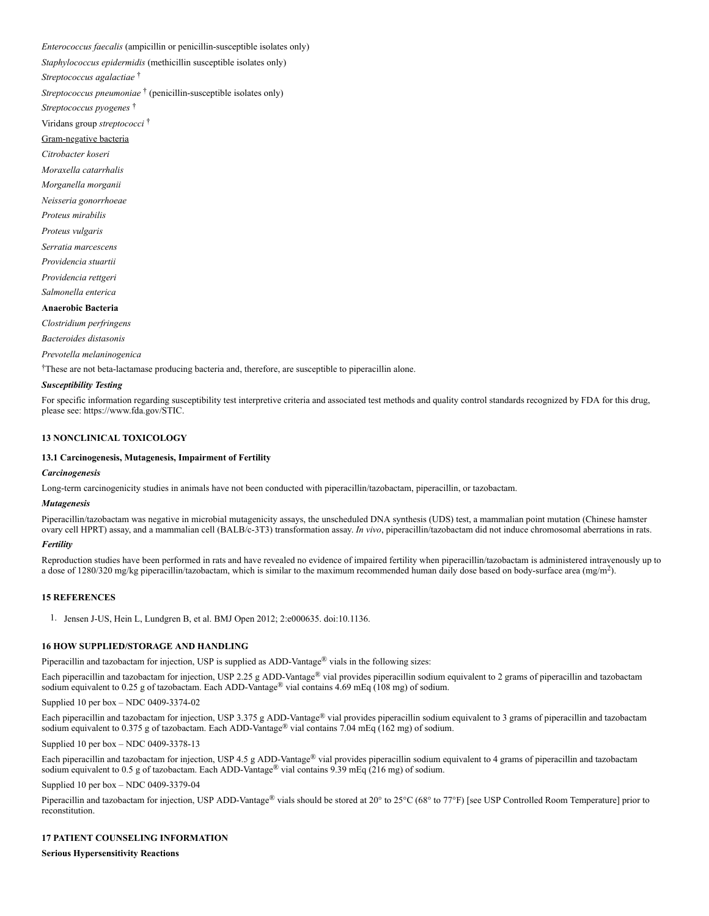*Enterococcus faecalis* (ampicillin or penicillin-susceptible isolates only)

*Staphylococcus epidermidis* (methicillin susceptible isolates only)

*Streptococcus agalactiae*  †

Streptococcus pneumoniae<sup>†</sup> (penicillin-susceptible isolates only)

*Streptococcus pyogenes*  †

Viridans group *streptococci*  †

#### Gram-negative bacteria

*Citrobacter koseri*

*Moraxella catarrhalis*

*Morganella morganii*

*Neisseria gonorrhoeae*

*Proteus mirabilis*

*Proteus vulgaris*

*Serratia marcescens*

*Providencia stuartii*

*Providencia rettgeri*

*Salmonella enterica*

## **Anaerobic Bacteria**

*Clostridium perfringens*

*Bacteroides distasonis*

*Prevotella melaninogenica*

These are not beta-lactamase producing bacteria and, therefore, are susceptible to piperacillin alone.

#### *Susceptibility Testing*

For specific information regarding susceptibility test interpretive criteria and associated test methods and quality control standards recognized by FDA for this drug, please see: https://www.fda.gov/STIC.

### <span id="page-13-0"></span>**13 NONCLINICAL TOXICOLOGY**

### <span id="page-13-1"></span>**13.1 Carcinogenesis, Mutagenesis, Impairment of Fertility**

#### *Carcinogenesis*

Long-term carcinogenicity studies in animals have not been conducted with piperacillin/tazobactam, piperacillin, or tazobactam.

#### *Mutagenesis*

Piperacillin/tazobactam was negative in microbial mutagenicity assays, the unscheduled DNA synthesis (UDS) test, a mammalian point mutation (Chinese hamster ovary cell HPRT) assay, and a mammalian cell (BALB/c-3T3) transformation assay. *In vivo*, piperacillin/tazobactam did not induce chromosomal aberrations in rats.

### *Fertility*

Reproduction studies have been performed in rats and have revealed no evidence of impaired fertility when piperacillin/tazobactam is administered intravenously up to a dose of 1280/320 mg/kg piperacillin/tazobactam, which is similar to the maximum recommended human daily dose based on body-surface area (mg/m<sup>2</sup>).

### <span id="page-13-2"></span>**15 REFERENCES**

1. Jensen J-US, Hein L, Lundgren B, et al. BMJ Open 2012; 2:e000635. doi:10.1136.

### <span id="page-13-3"></span>**16 HOW SUPPLIED/STORAGE AND HANDLING**

Piperacillin and tazobactam for injection, USP is supplied as ADD-Vantage<sup>®</sup> vials in the following sizes:

Each piperacillin and tazobactam for injection, USP 2.25 g ADD-Vantage® vial provides piperacillin sodium equivalent to 2 grams of piperacillin and tazobactam sodium equivalent to 0.25 g of tazobactam. Each ADD-Vantage® vial contains  $4.69$  mEq (108 mg) of sodium.

Supplied 10 per box – NDC 0409-3374-02

Each piperacillin and tazobactam for injection, USP 3.375 g ADD-Vantage® vial provides piperacillin sodium equivalent to 3 grams of piperacillin and tazobactam sodium equivalent to 0.375 g of tazobactam. Each ADD-Vantage<sup>®</sup> vial contains 7.04 mEq (162 mg) of sodium.

Supplied 10 per box – NDC 0409-3378-13

Each piperacillin and tazobactam for injection, USP 4.5 g ADD-Vantage® vial provides piperacillin sodium equivalent to 4 grams of piperacillin and tazobactam sodium equivalent to 0.5 g of tazobactam. Each ADD-Vantage® vial contains 9.39 mEq (216 mg) of sodium.

Supplied 10 per box – NDC 0409-3379-04

Piperacillin and tazobactam for injection, USP ADD-Vantage® vials should be stored at 20° to 25°C (68° to 77°F) [see USP Controlled Room Temperature] prior to reconstitution.

## <span id="page-13-4"></span>**17 PATIENT COUNSELING INFORMATION**

**Serious Hypersensitivity Reactions**